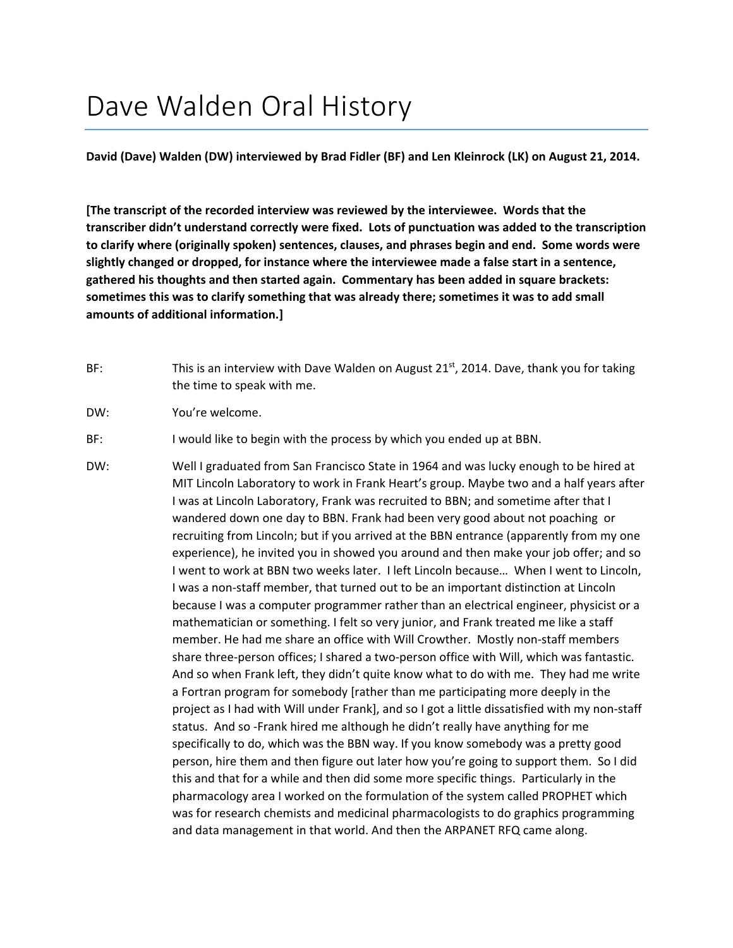## Dave Walden Oral History

**David (Dave) Walden (DW) interviewed by Brad Fidler (BF) and Len Kleinrock (LK) on August 21, 2014.**

**[The transcript of the recorded interview was reviewed by the interviewee. Words that the transcriber didn't understand correctly were fixed. Lots of punctuation was added to the transcription to clarify where (originally spoken) sentences, clauses, and phrases begin and end. Some words were slightly changed or dropped, for instance where the interviewee made a false start in a sentence, gathered his thoughts and then started again. Commentary has been added in square brackets: sometimes this was to clarify something that was already there; sometimes it was to add small amounts of additional information.]**

- BF: This is an interview with Dave Walden on August 21st, 2014. Dave, thank you for taking the time to speak with me.
- DW: You're welcome.

BF: I would like to begin with the process by which you ended up at BBN.

DW: Well I graduated from San Francisco State in 1964 and was lucky enough to be hired at MIT Lincoln Laboratory to work in Frank Heart's group. Maybe two and a half years after I was at Lincoln Laboratory, Frank was recruited to BBN; and sometime after that I wandered down one day to BBN. Frank had been very good about not poaching or recruiting from Lincoln; but if you arrived at the BBN entrance (apparently from my one experience), he invited you in showed you around and then make your job offer; and so I went to work at BBN two weeks later. I left Lincoln because… When I went to Lincoln, I was a non‐staff member, that turned out to be an important distinction at Lincoln because I was a computer programmer rather than an electrical engineer, physicist or a mathematician or something. I felt so very junior, and Frank treated me like a staff member. He had me share an office with Will Crowther. Mostly non‐staff members share three-person offices; I shared a two-person office with Will, which was fantastic. And so when Frank left, they didn't quite know what to do with me. They had me write a Fortran program for somebody [rather than me participating more deeply in the project as I had with Will under Frank], and so I got a little dissatisfied with my non‐staff status. And so ‐Frank hired me although he didn't really have anything for me specifically to do, which was the BBN way. If you know somebody was a pretty good person, hire them and then figure out later how you're going to support them. So I did this and that for a while and then did some more specific things. Particularly in the pharmacology area I worked on the formulation of the system called PROPHET which was for research chemists and medicinal pharmacologists to do graphics programming and data management in that world. And then the ARPANET RFQ came along.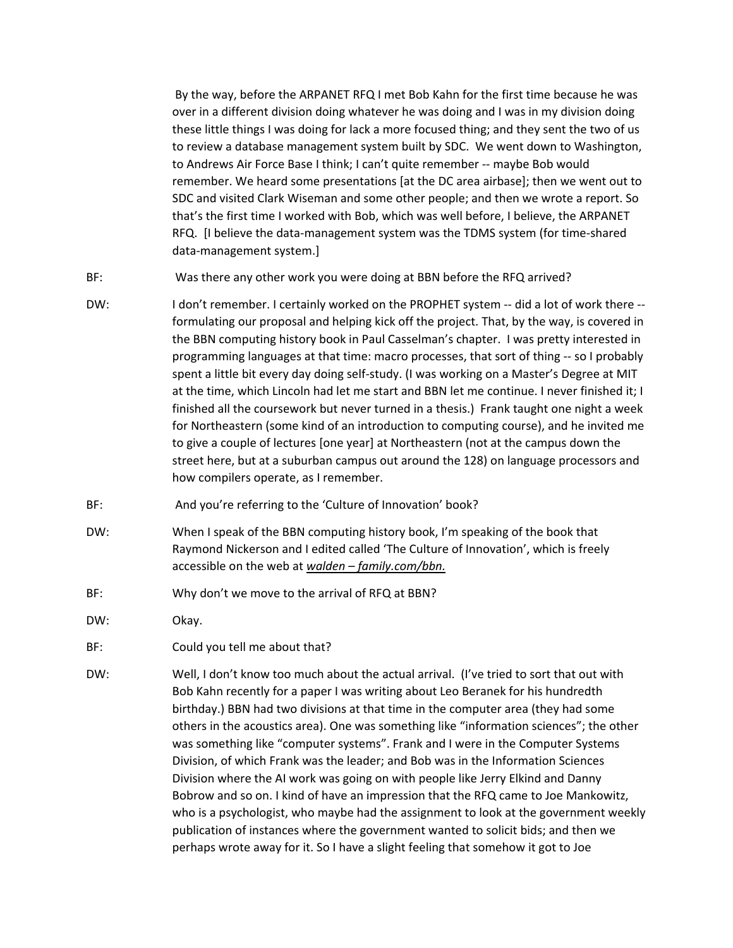By the way, before the ARPANET RFQ I met Bob Kahn for the first time because he was over in a different division doing whatever he was doing and I was in my division doing these little things I was doing for lack a more focused thing; and they sent the two of us to review a database management system built by SDC. We went down to Washington, to Andrews Air Force Base I think; I can't quite remember ‐‐ maybe Bob would remember. We heard some presentations [at the DC area airbase]; then we went out to SDC and visited Clark Wiseman and some other people; and then we wrote a report. So that's the first time I worked with Bob, which was well before, I believe, the ARPANET RFQ. [I believe the data‐management system was the TDMS system (for time‐shared data‐management system.]

- BF: Was there any other work you were doing at BBN before the RFQ arrived?
- DW: I don't remember. I certainly worked on the PROPHET system -- did a lot of work there -formulating our proposal and helping kick off the project. That, by the way, is covered in the BBN computing history book in Paul Casselman's chapter. I was pretty interested in programming languages at that time: macro processes, that sort of thing ‐‐ so I probably spent a little bit every day doing self‐study. (I was working on a Master's Degree at MIT at the time, which Lincoln had let me start and BBN let me continue. I never finished it; I finished all the coursework but never turned in a thesis.) Frank taught one night a week for Northeastern (some kind of an introduction to computing course), and he invited me to give a couple of lectures [one year] at Northeastern (not at the campus down the street here, but at a suburban campus out around the 128) on language processors and how compilers operate, as I remember.
- BF: Mand you're referring to the 'Culture of Innovation' book?
- DW: When I speak of the BBN computing history book, I'm speaking of the book that Raymond Nickerson and I edited called 'The Culture of Innovation', which is freely accessible on the web at *walden – family.com/bbn.*
- BF: Why don't we move to the arrival of RFQ at BBN?
- DW: Okay.
- BF: Could you tell me about that?
- DW: Well, I don't know too much about the actual arrival. (I've tried to sort that out with Bob Kahn recently for a paper I was writing about Leo Beranek for his hundredth birthday.) BBN had two divisions at that time in the computer area (they had some others in the acoustics area). One was something like "information sciences"; the other was something like "computer systems". Frank and I were in the Computer Systems Division, of which Frank was the leader; and Bob was in the Information Sciences Division where the AI work was going on with people like Jerry Elkind and Danny Bobrow and so on. I kind of have an impression that the RFQ came to Joe Mankowitz, who is a psychologist, who maybe had the assignment to look at the government weekly publication of instances where the government wanted to solicit bids; and then we perhaps wrote away for it. So I have a slight feeling that somehow it got to Joe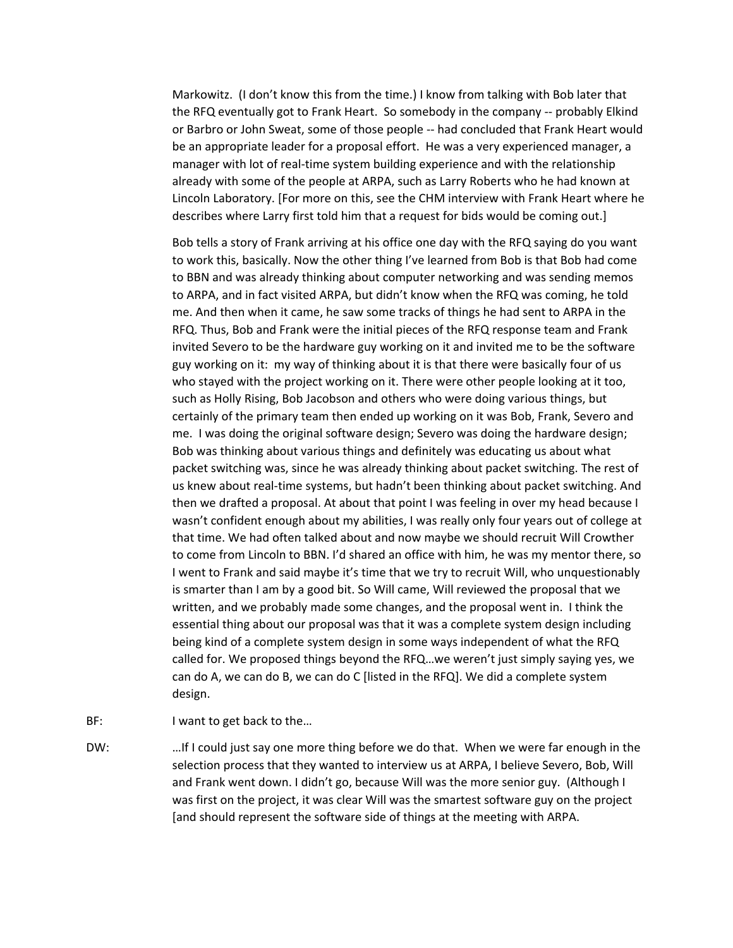Markowitz. (I don't know this from the time.) I know from talking with Bob later that the RFQ eventually got to Frank Heart. So somebody in the company ‐‐ probably Elkind or Barbro or John Sweat, some of those people ‐‐ had concluded that Frank Heart would be an appropriate leader for a proposal effort. He was a very experienced manager, a manager with lot of real-time system building experience and with the relationship already with some of the people at ARPA, such as Larry Roberts who he had known at Lincoln Laboratory. [For more on this, see the CHM interview with Frank Heart where he describes where Larry first told him that a request for bids would be coming out.]

Bob tells a story of Frank arriving at his office one day with the RFQ saying do you want to work this, basically. Now the other thing I've learned from Bob is that Bob had come to BBN and was already thinking about computer networking and was sending memos to ARPA, and in fact visited ARPA, but didn't know when the RFQ was coming, he told me. And then when it came, he saw some tracks of things he had sent to ARPA in the RFQ. Thus, Bob and Frank were the initial pieces of the RFQ response team and Frank invited Severo to be the hardware guy working on it and invited me to be the software guy working on it: my way of thinking about it is that there were basically four of us who stayed with the project working on it. There were other people looking at it too, such as Holly Rising, Bob Jacobson and others who were doing various things, but certainly of the primary team then ended up working on it was Bob, Frank, Severo and me. I was doing the original software design; Severo was doing the hardware design; Bob was thinking about various things and definitely was educating us about what packet switching was, since he was already thinking about packet switching. The rest of us knew about real‐time systems, but hadn't been thinking about packet switching. And then we drafted a proposal. At about that point I was feeling in over my head because I wasn't confident enough about my abilities, I was really only four years out of college at that time. We had often talked about and now maybe we should recruit Will Crowther to come from Lincoln to BBN. I'd shared an office with him, he was my mentor there, so I went to Frank and said maybe it's time that we try to recruit Will, who unquestionably is smarter than I am by a good bit. So Will came, Will reviewed the proposal that we written, and we probably made some changes, and the proposal went in. I think the essential thing about our proposal was that it was a complete system design including being kind of a complete system design in some ways independent of what the RFQ called for. We proposed things beyond the RFQ…we weren't just simply saying yes, we can do A, we can do B, we can do C [listed in the RFQ]. We did a complete system design.

- BF: I want to get back to the...
- DW: …If I could just say one more thing before we do that. When we were far enough in the selection process that they wanted to interview us at ARPA, I believe Severo, Bob, Will and Frank went down. I didn't go, because Will was the more senior guy. (Although I was first on the project, it was clear Will was the smartest software guy on the project [and should represent the software side of things at the meeting with ARPA.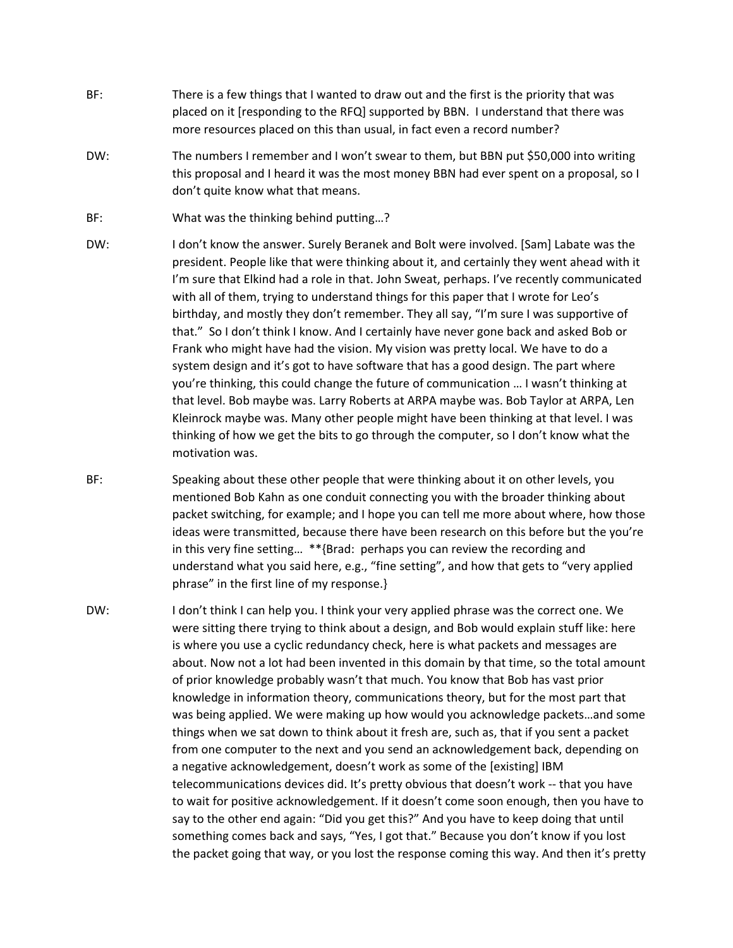- BF: There is a few things that I wanted to draw out and the first is the priority that was placed on it [responding to the RFQ] supported by BBN. I understand that there was more resources placed on this than usual, in fact even a record number?
- DW: The numbers I remember and I won't swear to them, but BBN put \$50,000 into writing this proposal and I heard it was the most money BBN had ever spent on a proposal, so I don't quite know what that means.
- BF: What was the thinking behind putting...?
- DW: I don't know the answer. Surely Beranek and Bolt were involved. [Sam] Labate was the president. People like that were thinking about it, and certainly they went ahead with it I'm sure that Elkind had a role in that. John Sweat, perhaps. I've recently communicated with all of them, trying to understand things for this paper that I wrote for Leo's birthday, and mostly they don't remember. They all say, "I'm sure I was supportive of that." So I don't think I know. And I certainly have never gone back and asked Bob or Frank who might have had the vision. My vision was pretty local. We have to do a system design and it's got to have software that has a good design. The part where you're thinking, this could change the future of communication … I wasn't thinking at that level. Bob maybe was. Larry Roberts at ARPA maybe was. Bob Taylor at ARPA, Len Kleinrock maybe was. Many other people might have been thinking at that level. I was thinking of how we get the bits to go through the computer, so I don't know what the motivation was.
- BF: Speaking about these other people that were thinking about it on other levels, you mentioned Bob Kahn as one conduit connecting you with the broader thinking about packet switching, for example; and I hope you can tell me more about where, how those ideas were transmitted, because there have been research on this before but the you're in this very fine setting… \*\*{Brad: perhaps you can review the recording and understand what you said here, e.g., "fine setting", and how that gets to "very applied phrase" in the first line of my response.}
- DW: I don't think I can help you. I think your very applied phrase was the correct one. We were sitting there trying to think about a design, and Bob would explain stuff like: here is where you use a cyclic redundancy check, here is what packets and messages are about. Now not a lot had been invented in this domain by that time, so the total amount of prior knowledge probably wasn't that much. You know that Bob has vast prior knowledge in information theory, communications theory, but for the most part that was being applied. We were making up how would you acknowledge packets…and some things when we sat down to think about it fresh are, such as, that if you sent a packet from one computer to the next and you send an acknowledgement back, depending on a negative acknowledgement, doesn't work as some of the [existing] IBM telecommunications devices did. It's pretty obvious that doesn't work ‐‐ that you have to wait for positive acknowledgement. If it doesn't come soon enough, then you have to say to the other end again: "Did you get this?" And you have to keep doing that until something comes back and says, "Yes, I got that." Because you don't know if you lost the packet going that way, or you lost the response coming this way. And then it's pretty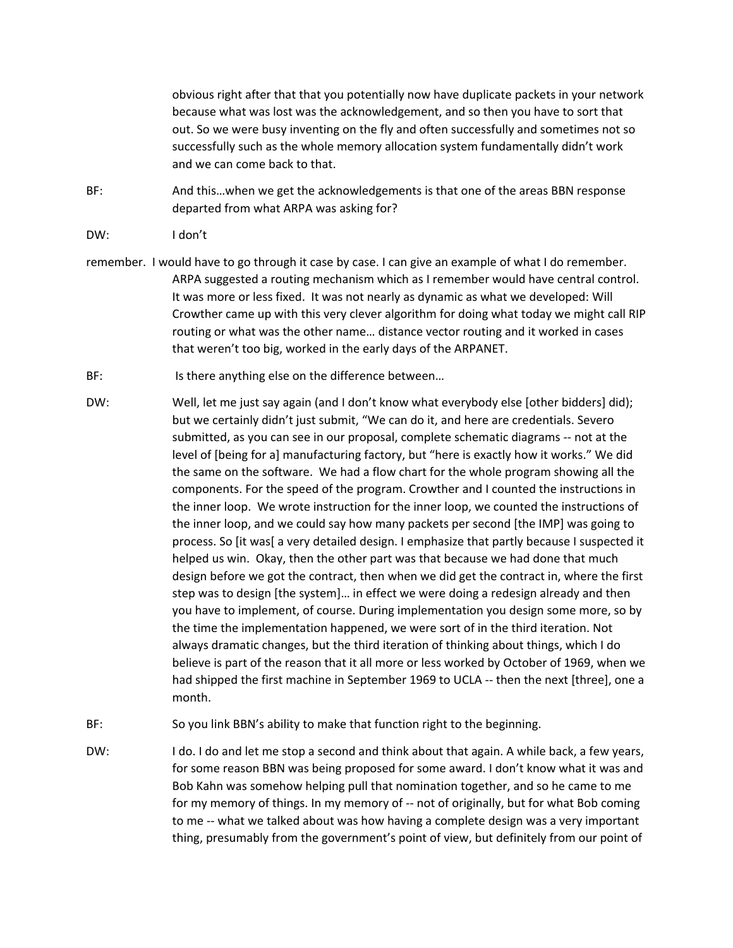obvious right after that that you potentially now have duplicate packets in your network because what was lost was the acknowledgement, and so then you have to sort that out. So we were busy inventing on the fly and often successfully and sometimes not so successfully such as the whole memory allocation system fundamentally didn't work and we can come back to that.

- BF: And this…when we get the acknowledgements is that one of the areas BBN response departed from what ARPA was asking for?
- DW: I don't
- remember. I would have to go through it case by case. I can give an example of what I do remember. ARPA suggested a routing mechanism which as I remember would have central control. It was more or less fixed. It was not nearly as dynamic as what we developed: Will Crowther came up with this very clever algorithm for doing what today we might call RIP routing or what was the other name… distance vector routing and it worked in cases that weren't too big, worked in the early days of the ARPANET.
- BF: Is there anything else on the difference between...
- DW: Well, let me just say again (and I don't know what everybody else [other bidders] did); but we certainly didn't just submit, "We can do it, and here are credentials. Severo submitted, as you can see in our proposal, complete schematic diagrams ‐‐ not at the level of [being for a] manufacturing factory, but "here is exactly how it works." We did the same on the software. We had a flow chart for the whole program showing all the components. For the speed of the program. Crowther and I counted the instructions in the inner loop. We wrote instruction for the inner loop, we counted the instructions of the inner loop, and we could say how many packets per second [the IMP] was going to process. So [it was[ a very detailed design. I emphasize that partly because I suspected it helped us win. Okay, then the other part was that because we had done that much design before we got the contract, then when we did get the contract in, where the first step was to design [the system]… in effect we were doing a redesign already and then you have to implement, of course. During implementation you design some more, so by the time the implementation happened, we were sort of in the third iteration. Not always dramatic changes, but the third iteration of thinking about things, which I do believe is part of the reason that it all more or less worked by October of 1969, when we had shipped the first machine in September 1969 to UCLA -- then the next [three], one a month.
- BF: So you link BBN's ability to make that function right to the beginning.
- DW: I do. I do and let me stop a second and think about that again. A while back, a few years, for some reason BBN was being proposed for some award. I don't know what it was and Bob Kahn was somehow helping pull that nomination together, and so he came to me for my memory of things. In my memory of -- not of originally, but for what Bob coming to me -- what we talked about was how having a complete design was a very important thing, presumably from the government's point of view, but definitely from our point of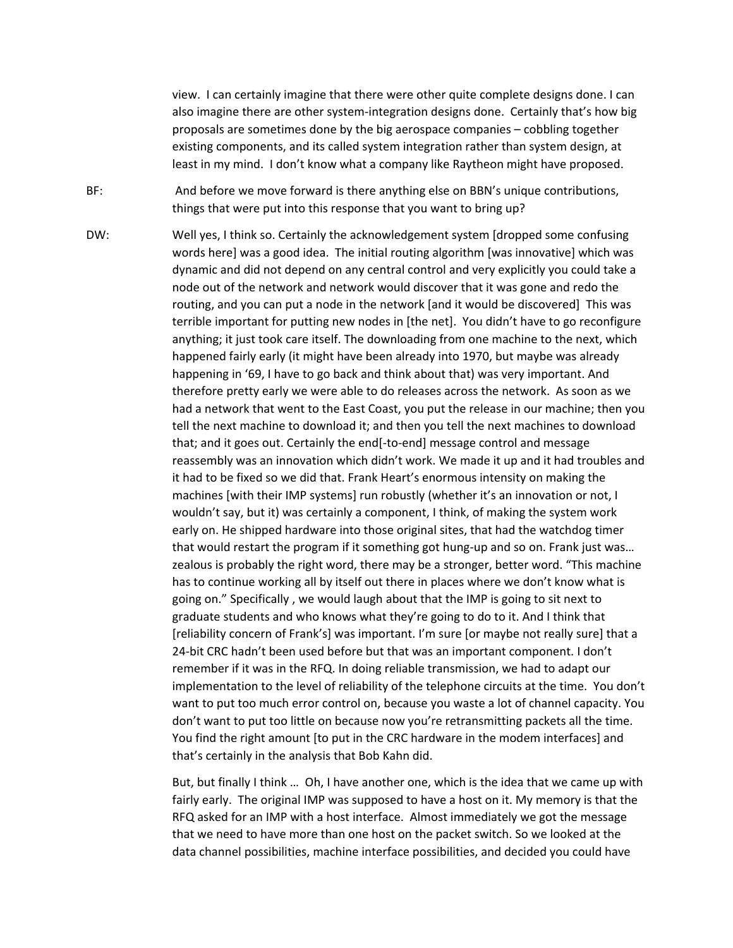view. I can certainly imagine that there were other quite complete designs done. I can also imagine there are other system-integration designs done. Certainly that's how big proposals are sometimes done by the big aerospace companies – cobbling together existing components, and its called system integration rather than system design, at least in my mind. I don't know what a company like Raytheon might have proposed.

BF: And before we move forward is there anything else on BBN's unique contributions, things that were put into this response that you want to bring up?

DW: Well yes, I think so. Certainly the acknowledgement system [dropped some confusing words here] was a good idea. The initial routing algorithm [was innovative] which was dynamic and did not depend on any central control and very explicitly you could take a node out of the network and network would discover that it was gone and redo the routing, and you can put a node in the network [and it would be discovered] This was terrible important for putting new nodes in [the net]. You didn't have to go reconfigure anything; it just took care itself. The downloading from one machine to the next, which happened fairly early (it might have been already into 1970, but maybe was already happening in '69, I have to go back and think about that) was very important. And therefore pretty early we were able to do releases across the network. As soon as we had a network that went to the East Coast, you put the release in our machine; then you tell the next machine to download it; and then you tell the next machines to download that; and it goes out. Certainly the end[‐to‐end] message control and message reassembly was an innovation which didn't work. We made it up and it had troubles and it had to be fixed so we did that. Frank Heart's enormous intensity on making the machines [with their IMP systems] run robustly (whether it's an innovation or not, I wouldn't say, but it) was certainly a component, I think, of making the system work early on. He shipped hardware into those original sites, that had the watchdog timer that would restart the program if it something got hung‐up and so on. Frank just was… zealous is probably the right word, there may be a stronger, better word. "This machine has to continue working all by itself out there in places where we don't know what is going on." Specifically , we would laugh about that the IMP is going to sit next to graduate students and who knows what they're going to do to it. And I think that [reliability concern of Frank's] was important. I'm sure [or maybe not really sure] that a 24-bit CRC hadn't been used before but that was an important component. I don't remember if it was in the RFQ. In doing reliable transmission, we had to adapt our implementation to the level of reliability of the telephone circuits at the time. You don't want to put too much error control on, because you waste a lot of channel capacity. You don't want to put too little on because now you're retransmitting packets all the time. You find the right amount [to put in the CRC hardware in the modem interfaces] and that's certainly in the analysis that Bob Kahn did.

> But, but finally I think … Oh, I have another one, which is the idea that we came up with fairly early. The original IMP was supposed to have a host on it. My memory is that the RFQ asked for an IMP with a host interface. Almost immediately we got the message that we need to have more than one host on the packet switch. So we looked at the data channel possibilities, machine interface possibilities, and decided you could have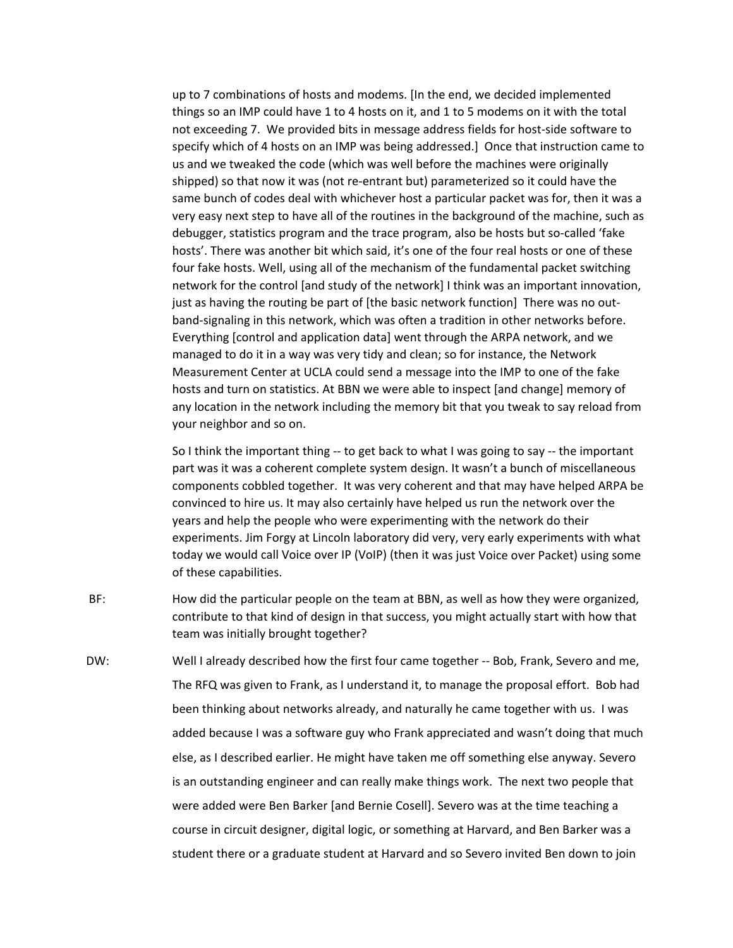up to 7 combinations of hosts and modems. [In the end, we decided implemented things so an IMP could have 1 to 4 hosts on it, and 1 to 5 modems on it with the total not exceeding 7. We provided bits in message address fields for host-side software to specify which of 4 hosts on an IMP was being addressed.] Once that instruction came to us and we tweaked the code (which was well before the machines were originally shipped) so that now it was (not re‐entrant but) parameterized so it could have the same bunch of codes deal with whichever host a particular packet was for, then it was a very easy next step to have all of the routines in the background of the machine, such as debugger, statistics program and the trace program, also be hosts but so-called 'fake hosts'. There was another bit which said, it's one of the four real hosts or one of these four fake hosts. Well, using all of the mechanism of the fundamental packet switching network for the control [and study of the network] I think was an important innovation, just as having the routing be part of [the basic network function] There was no outband‐signaling in this network, which was often a tradition in other networks before. Everything [control and application data] went through the ARPA network, and we managed to do it in a way was very tidy and clean; so for instance, the Network Measurement Center at UCLA could send a message into the IMP to one of the fake hosts and turn on statistics. At BBN we were able to inspect [and change] memory of any location in the network including the memory bit that you tweak to say reload from your neighbor and so on.

So I think the important thing ‐‐ to get back to what I was going to say ‐‐ the important part was it was a coherent complete system design. It wasn't a bunch of miscellaneous components cobbled together. It was very coherent and that may have helped ARPA be convinced to hire us. It may also certainly have helped us run the network over the years and help the people who were experimenting with the network do their experiments. Jim Forgy at Lincoln laboratory did very, very early experiments with what today we would call Voice over IP (VoIP) (then it was just Voice over Packet) using some of these capabilities.

- BF: How did the particular people on the team at BBN, as well as how they were organized, contribute to that kind of design in that success, you might actually start with how that team was initially brought together?
- DW: Well I already described how the first four came together -- Bob, Frank, Severo and me, The RFQ was given to Frank, as I understand it, to manage the proposal effort. Bob had been thinking about networks already, and naturally he came together with us. I was added because I was a software guy who Frank appreciated and wasn't doing that much else, as I described earlier. He might have taken me off something else anyway. Severo is an outstanding engineer and can really make things work. The next two people that were added were Ben Barker [and Bernie Cosell]. Severo was at the time teaching a course in circuit designer, digital logic, or something at Harvard, and Ben Barker was a student there or a graduate student at Harvard and so Severo invited Ben down to join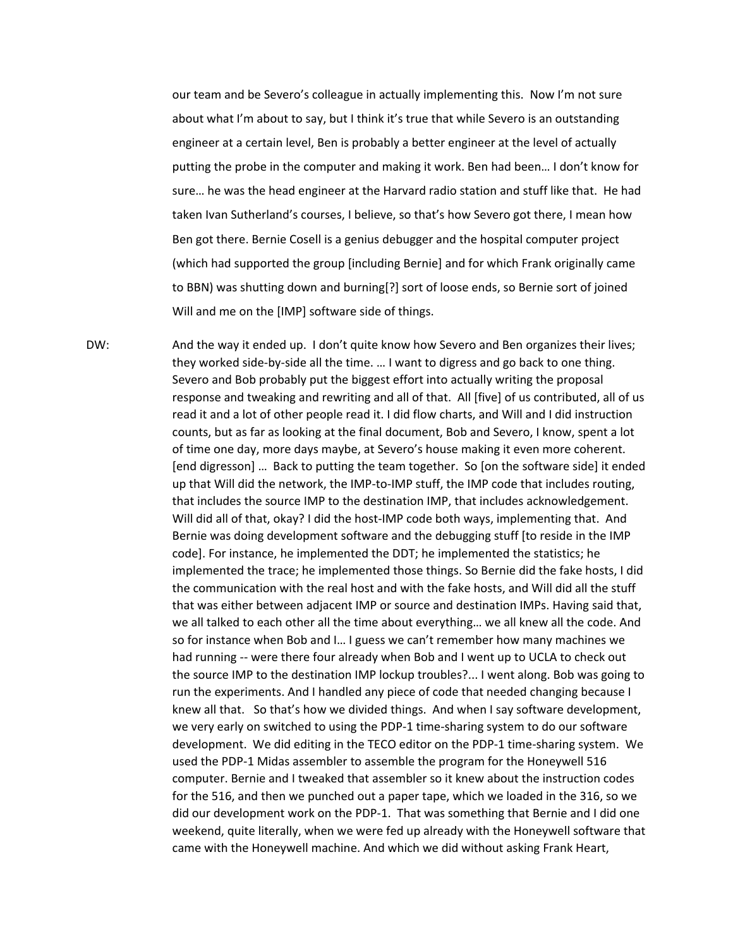our team and be Severo's colleague in actually implementing this. Now I'm not sure about what I'm about to say, but I think it's true that while Severo is an outstanding engineer at a certain level, Ben is probably a better engineer at the level of actually putting the probe in the computer and making it work. Ben had been… I don't know for sure… he was the head engineer at the Harvard radio station and stuff like that. He had taken Ivan Sutherland's courses, I believe, so that's how Severo got there, I mean how Ben got there. Bernie Cosell is a genius debugger and the hospital computer project (which had supported the group [including Bernie] and for which Frank originally came to BBN) was shutting down and burning[?] sort of loose ends, so Bernie sort of joined Will and me on the [IMP] software side of things.

DW: And the way it ended up. I don't quite know how Severo and Ben organizes their lives; they worked side‐by‐side all the time. … I want to digress and go back to one thing. Severo and Bob probably put the biggest effort into actually writing the proposal response and tweaking and rewriting and all of that. All [five] of us contributed, all of us read it and a lot of other people read it. I did flow charts, and Will and I did instruction counts, but as far as looking at the final document, Bob and Severo, I know, spent a lot of time one day, more days maybe, at Severo's house making it even more coherent. [end digresson] … Back to putting the team together. So [on the software side] it ended up that Will did the network, the IMP‐to‐IMP stuff, the IMP code that includes routing, that includes the source IMP to the destination IMP, that includes acknowledgement. Will did all of that, okay? I did the host-IMP code both ways, implementing that. And Bernie was doing development software and the debugging stuff [to reside in the IMP code]. For instance, he implemented the DDT; he implemented the statistics; he implemented the trace; he implemented those things. So Bernie did the fake hosts, I did the communication with the real host and with the fake hosts, and Will did all the stuff that was either between adjacent IMP or source and destination IMPs. Having said that, we all talked to each other all the time about everything… we all knew all the code. And so for instance when Bob and I… I guess we can't remember how many machines we had running -- were there four already when Bob and I went up to UCLA to check out the source IMP to the destination IMP lockup troubles?... I went along. Bob was going to run the experiments. And I handled any piece of code that needed changing because I knew all that. So that's how we divided things. And when I say software development, we very early on switched to using the PDP‐1 time‐sharing system to do our software development. We did editing in the TECO editor on the PDP‐1 time‐sharing system. We used the PDP‐1 Midas assembler to assemble the program for the Honeywell 516 computer. Bernie and I tweaked that assembler so it knew about the instruction codes for the 516, and then we punched out a paper tape, which we loaded in the 316, so we did our development work on the PDP‐1. That was something that Bernie and I did one weekend, quite literally, when we were fed up already with the Honeywell software that came with the Honeywell machine. And which we did without asking Frank Heart,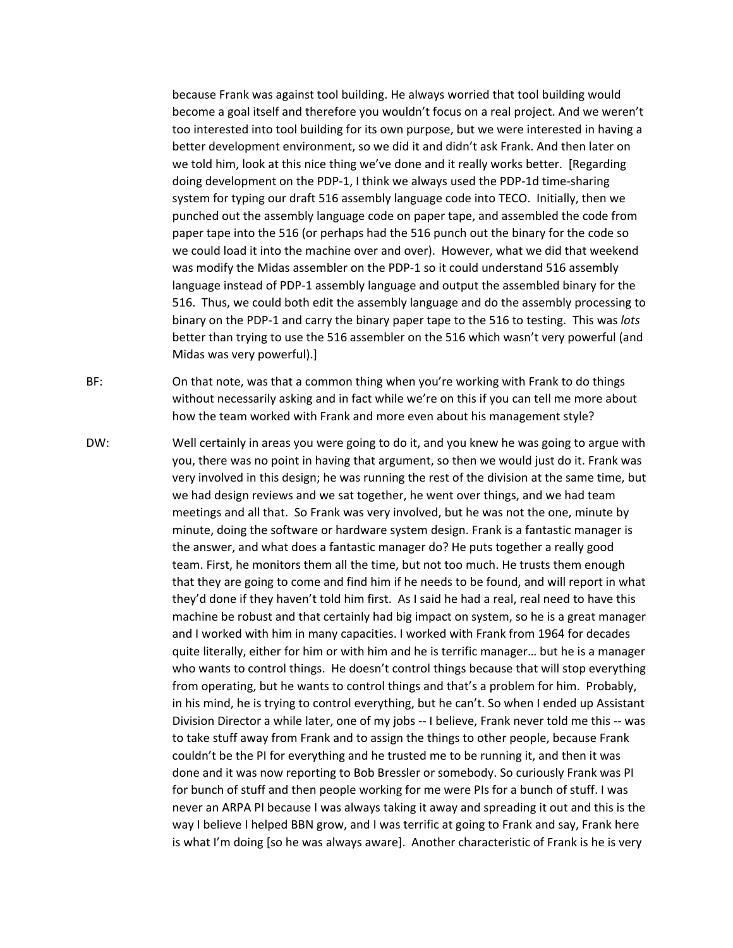because Frank was against tool building. He always worried that tool building would become a goal itself and therefore you wouldn't focus on a real project. And we weren't too interested into tool building for its own purpose, but we were interested in having a better development environment, so we did it and didn't ask Frank. And then later on we told him, look at this nice thing we've done and it really works better. [Regarding doing development on the PDP‐1, I think we always used the PDP‐1d time‐sharing system for typing our draft 516 assembly language code into TECO. Initially, then we punched out the assembly language code on paper tape, and assembled the code from paper tape into the 516 (or perhaps had the 516 punch out the binary for the code so we could load it into the machine over and over). However, what we did that weekend was modify the Midas assembler on the PDP‐1 so it could understand 516 assembly language instead of PDP‐1 assembly language and output the assembled binary for the 516. Thus, we could both edit the assembly language and do the assembly processing to binary on the PDP‐1 and carry the binary paper tape to the 516 to testing. This was *lots* better than trying to use the 516 assembler on the 516 which wasn't very powerful (and Midas was very powerful).]

BF: On that note, was that a common thing when you're working with Frank to do things without necessarily asking and in fact while we're on this if you can tell me more about how the team worked with Frank and more even about his management style?

DW: Well certainly in areas you were going to do it, and you knew he was going to argue with you, there was no point in having that argument, so then we would just do it. Frank was very involved in this design; he was running the rest of the division at the same time, but we had design reviews and we sat together, he went over things, and we had team meetings and all that. So Frank was very involved, but he was not the one, minute by minute, doing the software or hardware system design. Frank is a fantastic manager is the answer, and what does a fantastic manager do? He puts together a really good team. First, he monitors them all the time, but not too much. He trusts them enough that they are going to come and find him if he needs to be found, and will report in what they'd done if they haven't told him first. As I said he had a real, real need to have this machine be robust and that certainly had big impact on system, so he is a great manager and I worked with him in many capacities. I worked with Frank from 1964 for decades quite literally, either for him or with him and he is terrific manager… but he is a manager who wants to control things. He doesn't control things because that will stop everything from operating, but he wants to control things and that's a problem for him. Probably, in his mind, he is trying to control everything, but he can't. So when I ended up Assistant Division Director a while later, one of my jobs ‐‐ I believe, Frank never told me this ‐‐ was to take stuff away from Frank and to assign the things to other people, because Frank couldn't be the PI for everything and he trusted me to be running it, and then it was done and it was now reporting to Bob Bressler or somebody. So curiously Frank was PI for bunch of stuff and then people working for me were PIs for a bunch of stuff. I was never an ARPA PI because I was always taking it away and spreading it out and this is the way I believe I helped BBN grow, and I was terrific at going to Frank and say, Frank here is what I'm doing [so he was always aware]. Another characteristic of Frank is he is very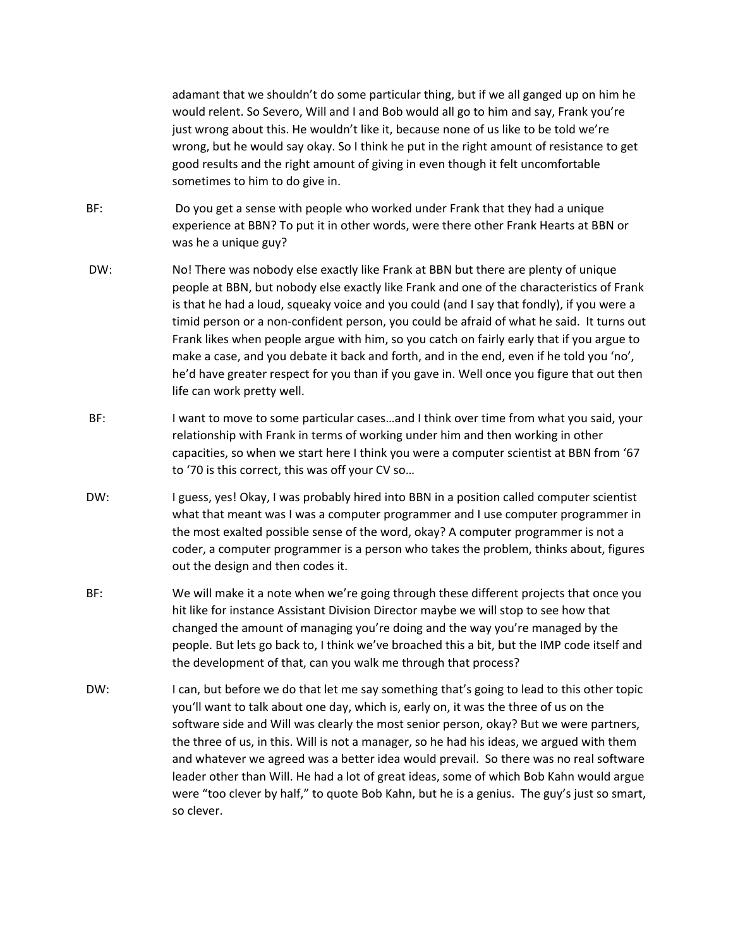adamant that we shouldn't do some particular thing, but if we all ganged up on him he would relent. So Severo, Will and I and Bob would all go to him and say, Frank you're just wrong about this. He wouldn't like it, because none of us like to be told we're wrong, but he would say okay. So I think he put in the right amount of resistance to get good results and the right amount of giving in even though it felt uncomfortable sometimes to him to do give in.

- BF: Do you get a sense with people who worked under Frank that they had a unique experience at BBN? To put it in other words, were there other Frank Hearts at BBN or was he a unique guy?
- DW: No! There was nobody else exactly like Frank at BBN but there are plenty of unique people at BBN, but nobody else exactly like Frank and one of the characteristics of Frank is that he had a loud, squeaky voice and you could (and I say that fondly), if you were a timid person or a non‐confident person, you could be afraid of what he said. It turns out Frank likes when people argue with him, so you catch on fairly early that if you argue to make a case, and you debate it back and forth, and in the end, even if he told you 'no', he'd have greater respect for you than if you gave in. Well once you figure that out then life can work pretty well.
- BF: I want to move to some particular cases…and I think over time from what you said, your relationship with Frank in terms of working under him and then working in other capacities, so when we start here I think you were a computer scientist at BBN from '67 to '70 is this correct, this was off your CV so…
- DW: I guess, yes! Okay, I was probably hired into BBN in a position called computer scientist what that meant was I was a computer programmer and I use computer programmer in the most exalted possible sense of the word, okay? A computer programmer is not a coder, a computer programmer is a person who takes the problem, thinks about, figures out the design and then codes it.
- BF: We will make it a note when we're going through these different projects that once you hit like for instance Assistant Division Director maybe we will stop to see how that changed the amount of managing you're doing and the way you're managed by the people. But lets go back to, I think we've broached this a bit, but the IMP code itself and the development of that, can you walk me through that process?
- DW: I can, but before we do that let me say something that's going to lead to this other topic you'll want to talk about one day, which is, early on, it was the three of us on the software side and Will was clearly the most senior person, okay? But we were partners, the three of us, in this. Will is not a manager, so he had his ideas, we argued with them and whatever we agreed was a better idea would prevail. So there was no real software leader other than Will. He had a lot of great ideas, some of which Bob Kahn would argue were "too clever by half," to quote Bob Kahn, but he is a genius. The guy's just so smart, so clever.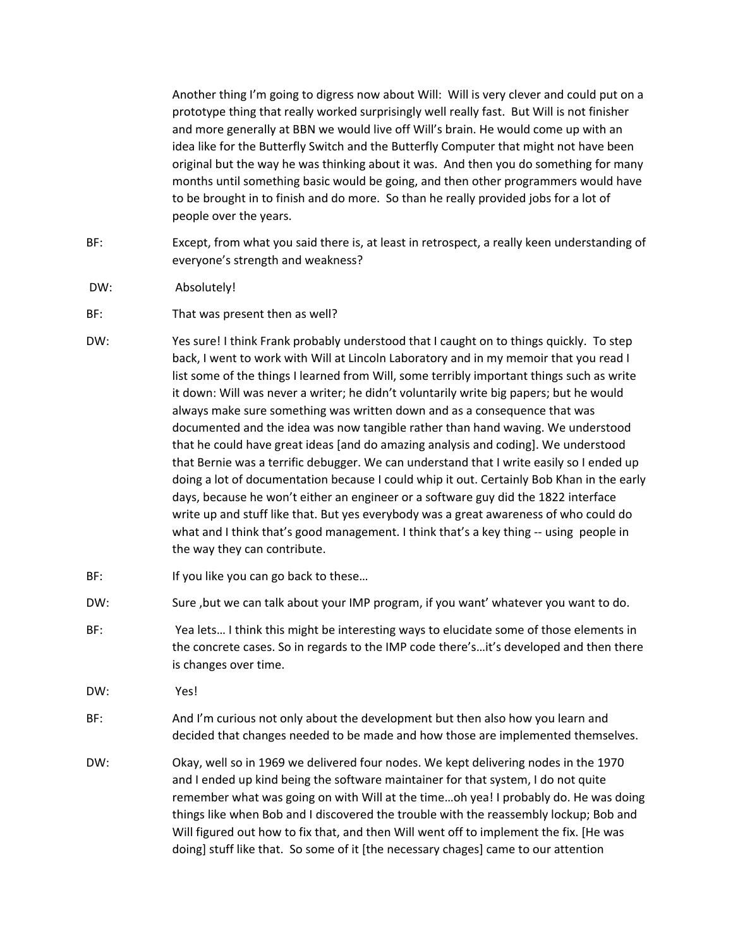Another thing I'm going to digress now about Will: Will is very clever and could put on a prototype thing that really worked surprisingly well really fast. But Will is not finisher and more generally at BBN we would live off Will's brain. He would come up with an idea like for the Butterfly Switch and the Butterfly Computer that might not have been original but the way he was thinking about it was. And then you do something for many months until something basic would be going, and then other programmers would have to be brought in to finish and do more. So than he really provided jobs for a lot of people over the years.

- BF: Except, from what you said there is, at least in retrospect, a really keen understanding of everyone's strength and weakness?
- DW: Absolutely!
- BF: That was present then as well?
- DW: Yes sure! I think Frank probably understood that I caught on to things quickly. To step back, I went to work with Will at Lincoln Laboratory and in my memoir that you read I list some of the things I learned from Will, some terribly important things such as write it down: Will was never a writer; he didn't voluntarily write big papers; but he would always make sure something was written down and as a consequence that was documented and the idea was now tangible rather than hand waving. We understood that he could have great ideas [and do amazing analysis and coding]. We understood that Bernie was a terrific debugger. We can understand that I write easily so I ended up doing a lot of documentation because I could whip it out. Certainly Bob Khan in the early days, because he won't either an engineer or a software guy did the 1822 interface write up and stuff like that. But yes everybody was a great awareness of who could do what and I think that's good management. I think that's a key thing -- using people in the way they can contribute.
- BF: If you like you can go back to these...
- DW: Sure , but we can talk about your IMP program, if you want' whatever you want to do.
- BF: Yea lets… I think this might be interesting ways to elucidate some of those elements in the concrete cases. So in regards to the IMP code there's…it's developed and then there is changes over time.
- DW: Yes!
- BF: And I'm curious not only about the development but then also how you learn and decided that changes needed to be made and how those are implemented themselves.
- DW: Okay, well so in 1969 we delivered four nodes. We kept delivering nodes in the 1970 and I ended up kind being the software maintainer for that system, I do not quite remember what was going on with Will at the time…oh yea! I probably do. He was doing things like when Bob and I discovered the trouble with the reassembly lockup; Bob and Will figured out how to fix that, and then Will went off to implement the fix. [He was doing] stuff like that. So some of it [the necessary chages] came to our attention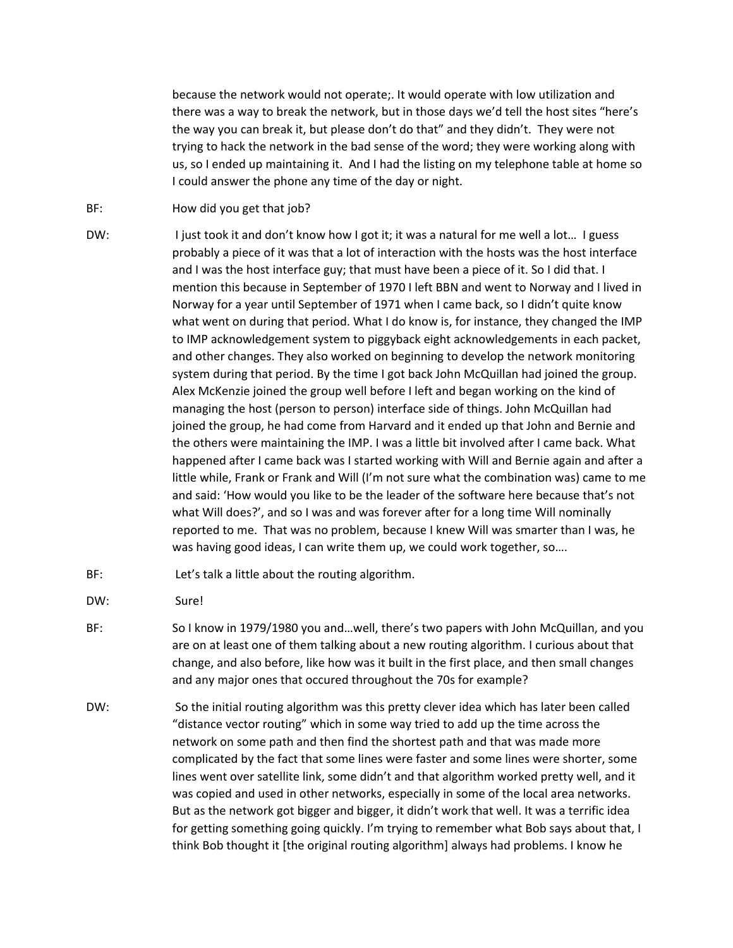because the network would not operate;. It would operate with low utilization and there was a way to break the network, but in those days we'd tell the host sites "here's the way you can break it, but please don't do that" and they didn't. They were not trying to hack the network in the bad sense of the word; they were working along with us, so I ended up maintaining it. And I had the listing on my telephone table at home so I could answer the phone any time of the day or night.

- BF: How did you get that job?
- DW: I just took it and don't know how I got it; it was a natural for me well a lot... I guess probably a piece of it was that a lot of interaction with the hosts was the host interface and I was the host interface guy; that must have been a piece of it. So I did that. I mention this because in September of 1970 I left BBN and went to Norway and I lived in Norway for a year until September of 1971 when I came back, so I didn't quite know what went on during that period. What I do know is, for instance, they changed the IMP to IMP acknowledgement system to piggyback eight acknowledgements in each packet, and other changes. They also worked on beginning to develop the network monitoring system during that period. By the time I got back John McQuillan had joined the group. Alex McKenzie joined the group well before I left and began working on the kind of managing the host (person to person) interface side of things. John McQuillan had joined the group, he had come from Harvard and it ended up that John and Bernie and the others were maintaining the IMP. I was a little bit involved after I came back. What happened after I came back was I started working with Will and Bernie again and after a little while, Frank or Frank and Will (I'm not sure what the combination was) came to me and said: 'How would you like to be the leader of the software here because that's not what Will does?', and so I was and was forever after for a long time Will nominally reported to me. That was no problem, because I knew Will was smarter than I was, he was having good ideas, I can write them up, we could work together, so....
- BF: Let's talk a little about the routing algorithm.
- DW: Sure!
- BF: So I know in 1979/1980 you and...well, there's two papers with John McQuillan, and you are on at least one of them talking about a new routing algorithm. I curious about that change, and also before, like how was it built in the first place, and then small changes and any major ones that occured throughout the 70s for example?
- DW: So the initial routing algorithm was this pretty clever idea which has later been called "distance vector routing" which in some way tried to add up the time across the network on some path and then find the shortest path and that was made more complicated by the fact that some lines were faster and some lines were shorter, some lines went over satellite link, some didn't and that algorithm worked pretty well, and it was copied and used in other networks, especially in some of the local area networks. But as the network got bigger and bigger, it didn't work that well. It was a terrific idea for getting something going quickly. I'm trying to remember what Bob says about that, I think Bob thought it [the original routing algorithm] always had problems. I know he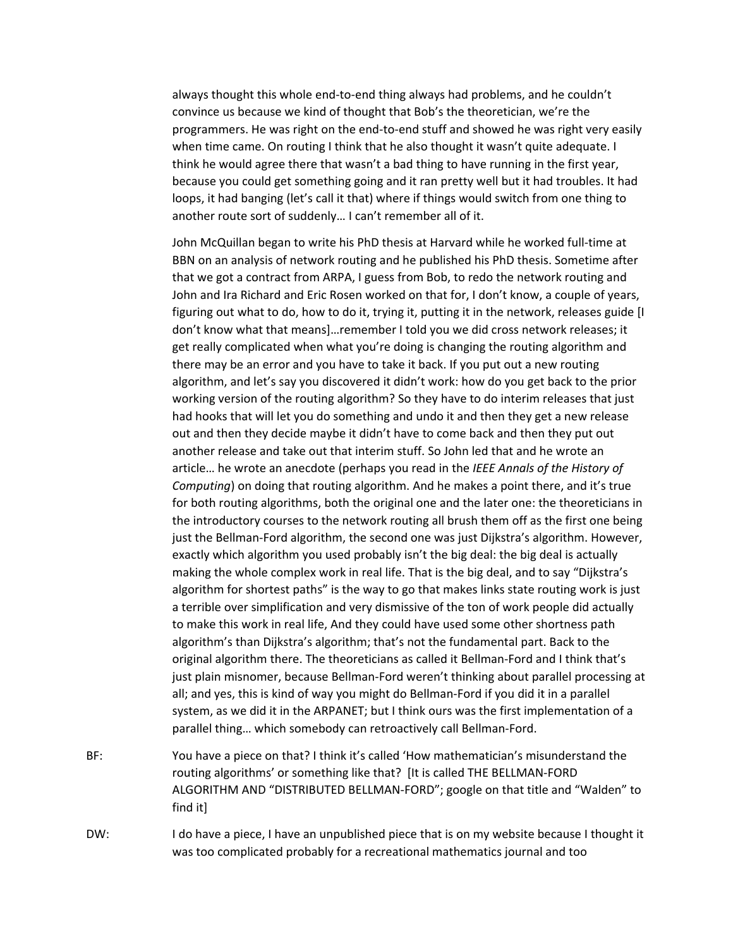always thought this whole end‐to‐end thing always had problems, and he couldn't convince us because we kind of thought that Bob's the theoretician, we're the programmers. He was right on the end‐to‐end stuff and showed he was right very easily when time came. On routing I think that he also thought it wasn't quite adequate. I think he would agree there that wasn't a bad thing to have running in the first year, because you could get something going and it ran pretty well but it had troubles. It had loops, it had banging (let's call it that) where if things would switch from one thing to another route sort of suddenly… I can't remember all of it.

John McQuillan began to write his PhD thesis at Harvard while he worked full‐time at BBN on an analysis of network routing and he published his PhD thesis. Sometime after that we got a contract from ARPA, I guess from Bob, to redo the network routing and John and Ira Richard and Eric Rosen worked on that for, I don't know, a couple of years, figuring out what to do, how to do it, trying it, putting it in the network, releases guide [I don't know what that means]…remember I told you we did cross network releases; it get really complicated when what you're doing is changing the routing algorithm and there may be an error and you have to take it back. If you put out a new routing algorithm, and let's say you discovered it didn't work: how do you get back to the prior working version of the routing algorithm? So they have to do interim releases that just had hooks that will let you do something and undo it and then they get a new release out and then they decide maybe it didn't have to come back and then they put out another release and take out that interim stuff. So John led that and he wrote an article… he wrote an anecdote (perhaps you read in the *IEEE Annals of the History of Computing*) on doing that routing algorithm. And he makes a point there, and it's true for both routing algorithms, both the original one and the later one: the theoreticians in the introductory courses to the network routing all brush them off as the first one being just the Bellman-Ford algorithm, the second one was just Dijkstra's algorithm. However, exactly which algorithm you used probably isn't the big deal: the big deal is actually making the whole complex work in real life. That is the big deal, and to say "Dijkstra's algorithm for shortest paths" is the way to go that makes links state routing work is just a terrible over simplification and very dismissive of the ton of work people did actually to make this work in real life, And they could have used some other shortness path algorithm's than Dijkstra's algorithm; that's not the fundamental part. Back to the original algorithm there. The theoreticians as called it Bellman‐Ford and I think that's just plain misnomer, because Bellman‐Ford weren't thinking about parallel processing at all; and yes, this is kind of way you might do Bellman‐Ford if you did it in a parallel system, as we did it in the ARPANET; but I think ours was the first implementation of a parallel thing… which somebody can retroactively call Bellman‐Ford.

- BF: You have a piece on that? I think it's called 'How mathematician's misunderstand the routing algorithms' or something like that? [It is called THE BELLMAN‐FORD ALGORITHM AND "DISTRIBUTED BELLMAN‐FORD"; google on that title and "Walden" to find it]
- DW: I do have a piece, I have an unpublished piece that is on my website because I thought it was too complicated probably for a recreational mathematics journal and too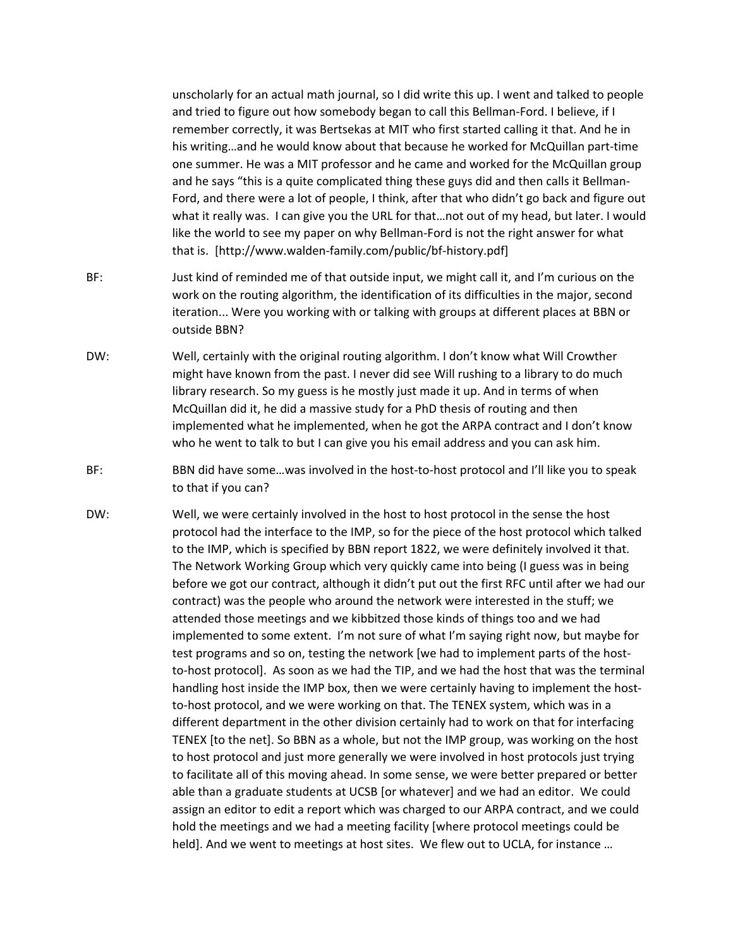unscholarly for an actual math journal, so I did write this up. I went and talked to people and tried to figure out how somebody began to call this Bellman-Ford. I believe, if I remember correctly, it was Bertsekas at MIT who first started calling it that. And he in his writing…and he would know about that because he worked for McQuillan part‐time one summer. He was a MIT professor and he came and worked for the McQuillan group and he says "this is a quite complicated thing these guys did and then calls it Bellman‐ Ford, and there were a lot of people, I think, after that who didn't go back and figure out what it really was. I can give you the URL for that…not out of my head, but later. I would like the world to see my paper on why Bellman‐Ford is not the right answer for what that is. [http://www.walden‐family.com/public/bf‐history.pdf]

- BF: Just kind of reminded me of that outside input, we might call it, and I'm curious on the work on the routing algorithm, the identification of its difficulties in the major, second iteration... Were you working with or talking with groups at different places at BBN or outside BBN?
- DW: Well, certainly with the original routing algorithm. I don't know what Will Crowther might have known from the past. I never did see Will rushing to a library to do much library research. So my guess is he mostly just made it up. And in terms of when McQuillan did it, he did a massive study for a PhD thesis of routing and then implemented what he implemented, when he got the ARPA contract and I don't know who he went to talk to but I can give you his email address and you can ask him.
- BF: BBN did have some...was involved in the host-to-host protocol and I'll like you to speak to that if you can?
- DW: Well, we were certainly involved in the host to host protocol in the sense the host protocol had the interface to the IMP, so for the piece of the host protocol which talked to the IMP, which is specified by BBN report 1822, we were definitely involved it that. The Network Working Group which very quickly came into being (I guess was in being before we got our contract, although it didn't put out the first RFC until after we had our contract) was the people who around the network were interested in the stuff; we attended those meetings and we kibbitzed those kinds of things too and we had implemented to some extent. I'm not sure of what I'm saying right now, but maybe for test programs and so on, testing the network [we had to implement parts of the host‐ to-host protocol]. As soon as we had the TIP, and we had the host that was the terminal handling host inside the IMP box, then we were certainly having to implement the hostto-host protocol, and we were working on that. The TENEX system, which was in a different department in the other division certainly had to work on that for interfacing TENEX [to the net]. So BBN as a whole, but not the IMP group, was working on the host to host protocol and just more generally we were involved in host protocols just trying to facilitate all of this moving ahead. In some sense, we were better prepared or better able than a graduate students at UCSB [or whatever] and we had an editor. We could assign an editor to edit a report which was charged to our ARPA contract, and we could hold the meetings and we had a meeting facility [where protocol meetings could be held]. And we went to meetings at host sites. We flew out to UCLA, for instance …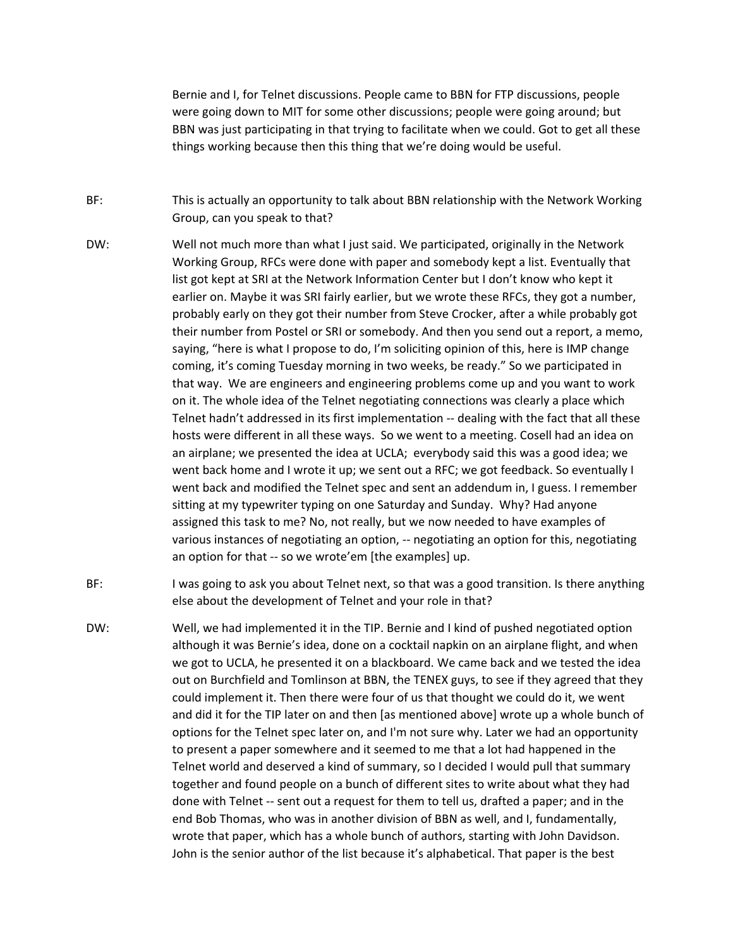Bernie and I, for Telnet discussions. People came to BBN for FTP discussions, people were going down to MIT for some other discussions; people were going around; but BBN was just participating in that trying to facilitate when we could. Got to get all these things working because then this thing that we're doing would be useful.

- BF: This is actually an opportunity to talk about BBN relationship with the Network Working Group, can you speak to that?
- DW: Well not much more than what I just said. We participated, originally in the Network Working Group, RFCs were done with paper and somebody kept a list. Eventually that list got kept at SRI at the Network Information Center but I don't know who kept it earlier on. Maybe it was SRI fairly earlier, but we wrote these RFCs, they got a number, probably early on they got their number from Steve Crocker, after a while probably got their number from Postel or SRI or somebody. And then you send out a report, a memo, saying, "here is what I propose to do, I'm soliciting opinion of this, here is IMP change coming, it's coming Tuesday morning in two weeks, be ready." So we participated in that way. We are engineers and engineering problems come up and you want to work on it. The whole idea of the Telnet negotiating connections was clearly a place which Telnet hadn't addressed in its first implementation ‐‐ dealing with the fact that all these hosts were different in all these ways. So we went to a meeting. Cosell had an idea on an airplane; we presented the idea at UCLA; everybody said this was a good idea; we went back home and I wrote it up; we sent out a RFC; we got feedback. So eventually I went back and modified the Telnet spec and sent an addendum in, I guess. I remember sitting at my typewriter typing on one Saturday and Sunday. Why? Had anyone assigned this task to me? No, not really, but we now needed to have examples of various instances of negotiating an option, ‐‐ negotiating an option for this, negotiating an option for that ‐‐ so we wrote'em [the examples] up.
- BF: I was going to ask you about Telnet next, so that was a good transition. Is there anything else about the development of Telnet and your role in that?
- DW: Well, we had implemented it in the TIP. Bernie and I kind of pushed negotiated option although it was Bernie's idea, done on a cocktail napkin on an airplane flight, and when we got to UCLA, he presented it on a blackboard. We came back and we tested the idea out on Burchfield and Tomlinson at BBN, the TENEX guys, to see if they agreed that they could implement it. Then there were four of us that thought we could do it, we went and did it for the TIP later on and then [as mentioned above] wrote up a whole bunch of options for the Telnet spec later on, and I'm not sure why. Later we had an opportunity to present a paper somewhere and it seemed to me that a lot had happened in the Telnet world and deserved a kind of summary, so I decided I would pull that summary together and found people on a bunch of different sites to write about what they had done with Telnet ‐‐ sent out a request for them to tell us, drafted a paper; and in the end Bob Thomas, who was in another division of BBN as well, and I, fundamentally, wrote that paper, which has a whole bunch of authors, starting with John Davidson. John is the senior author of the list because it's alphabetical. That paper is the best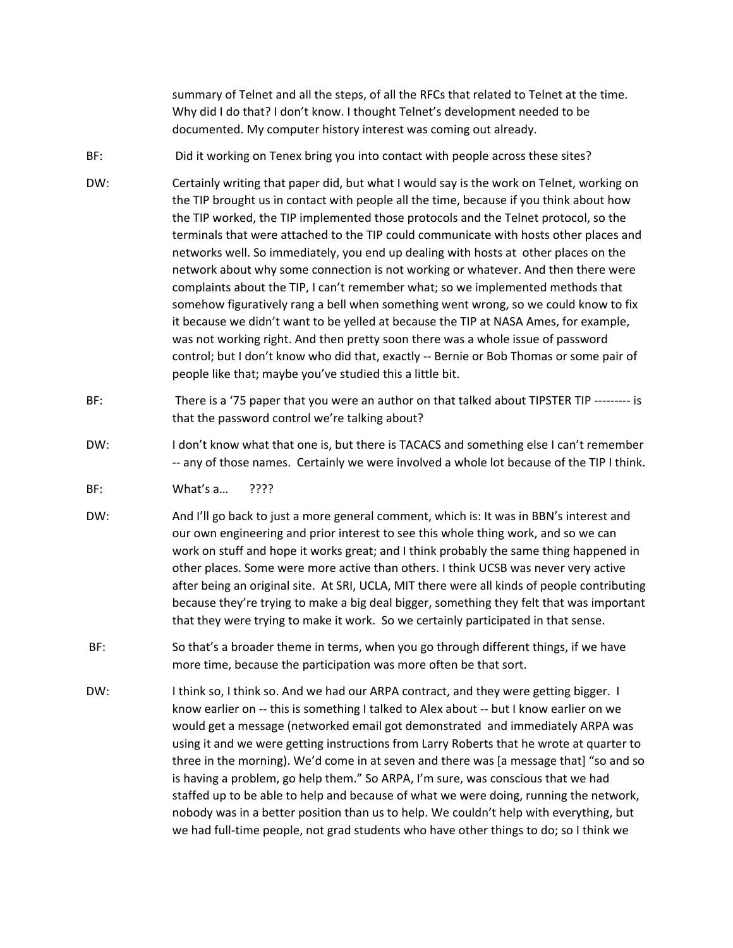summary of Telnet and all the steps, of all the RFCs that related to Telnet at the time. Why did I do that? I don't know. I thought Telnet's development needed to be documented. My computer history interest was coming out already.

- BF: Did it working on Tenex bring you into contact with people across these sites?
- DW: Certainly writing that paper did, but what I would say is the work on Telnet, working on the TIP brought us in contact with people all the time, because if you think about how the TIP worked, the TIP implemented those protocols and the Telnet protocol, so the terminals that were attached to the TIP could communicate with hosts other places and networks well. So immediately, you end up dealing with hosts at other places on the network about why some connection is not working or whatever. And then there were complaints about the TIP, I can't remember what; so we implemented methods that somehow figuratively rang a bell when something went wrong, so we could know to fix it because we didn't want to be yelled at because the TIP at NASA Ames, for example, was not working right. And then pretty soon there was a whole issue of password control; but I don't know who did that, exactly ‐‐ Bernie or Bob Thomas or some pair of people like that; maybe you've studied this a little bit.
- BF: There is a '75 paper that you were an author on that talked about TIPSTER TIP --------- is that the password control we're talking about?
- DW: I don't know what that one is, but there is TACACS and something else I can't remember ‐‐ any of those names. Certainly we were involved a whole lot because of the TIP I think.
- BF: What's a… ????
- DW: And I'll go back to just a more general comment, which is: It was in BBN's interest and our own engineering and prior interest to see this whole thing work, and so we can work on stuff and hope it works great; and I think probably the same thing happened in other places. Some were more active than others. I think UCSB was never very active after being an original site. At SRI, UCLA, MIT there were all kinds of people contributing because they're trying to make a big deal bigger, something they felt that was important that they were trying to make it work. So we certainly participated in that sense.
- BF: So that's a broader theme in terms, when you go through different things, if we have more time, because the participation was more often be that sort.
- DW: Ithink so, I think so. And we had our ARPA contract, and they were getting bigger. I know earlier on -- this is something I talked to Alex about -- but I know earlier on we would get a message (networked email got demonstrated and immediately ARPA was using it and we were getting instructions from Larry Roberts that he wrote at quarter to three in the morning). We'd come in at seven and there was [a message that] "so and so is having a problem, go help them." So ARPA, I'm sure, was conscious that we had staffed up to be able to help and because of what we were doing, running the network, nobody was in a better position than us to help. We couldn't help with everything, but we had full-time people, not grad students who have other things to do; so I think we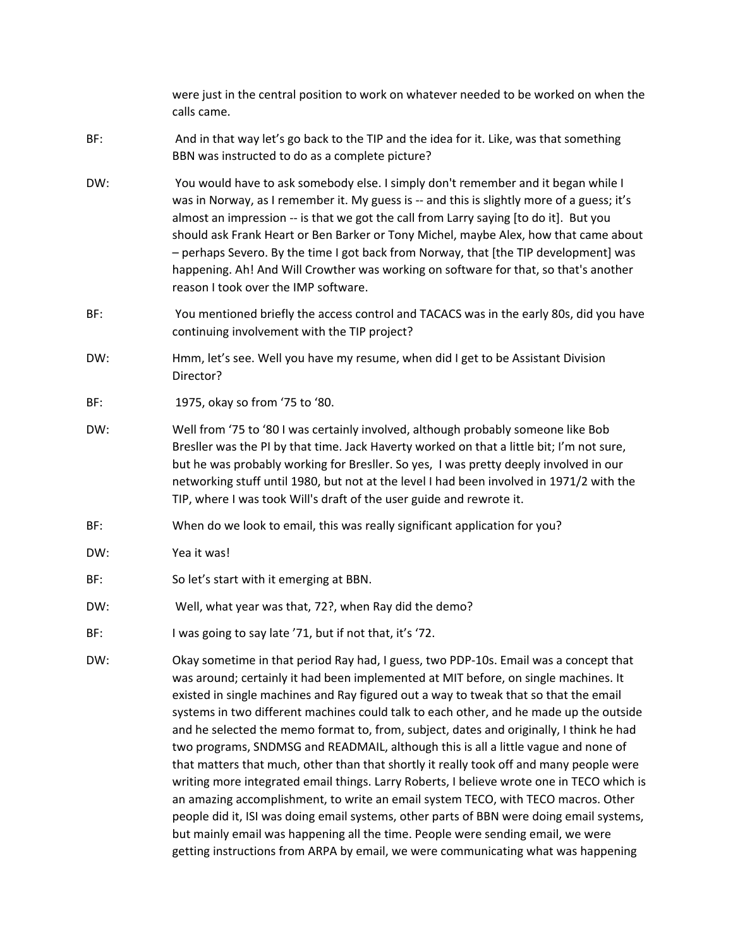were just in the central position to work on whatever needed to be worked on when the calls came.

- BF: And in that way let's go back to the TIP and the idea for it. Like, was that something BBN was instructed to do as a complete picture?
- DW: You would have to ask somebody else. I simply don't remember and it began while I was in Norway, as I remember it. My guess is -- and this is slightly more of a guess; it's almost an impression ‐‐ is that we got the call from Larry saying [to do it]. But you should ask Frank Heart or Ben Barker or Tony Michel, maybe Alex, how that came about – perhaps Severo. By the time I got back from Norway, that [the TIP development] was happening. Ah! And Will Crowther was working on software for that, so that's another reason I took over the IMP software.
- BF: You mentioned briefly the access control and TACACS was in the early 80s, did you have continuing involvement with the TIP project?
- DW: Hmm, let's see. Well you have my resume, when did I get to be Assistant Division Director?
- BF: 1975, okay so from '75 to '80.
- DW: Well from '75 to '80 I was certainly involved, although probably someone like Bob Bresller was the PI by that time. Jack Haverty worked on that a little bit; I'm not sure, but he was probably working for Bresller. So yes, I was pretty deeply involved in our networking stuff until 1980, but not at the level I had been involved in 1971/2 with the TIP, where I was took Will's draft of the user guide and rewrote it.
- BF: When do we look to email, this was really significant application for you?
- DW: Yea it was!
- BF: So let's start with it emerging at BBN.
- DW: Well, what year was that, 72?, when Ray did the demo?
- BF: I was going to say late '71, but if not that, it's '72.
- DW: Okay sometime in that period Ray had, I guess, two PDP‐10s. Email was a concept that was around; certainly it had been implemented at MIT before, on single machines. It existed in single machines and Ray figured out a way to tweak that so that the email systems in two different machines could talk to each other, and he made up the outside and he selected the memo format to, from, subject, dates and originally, I think he had two programs, SNDMSG and READMAIL, although this is all a little vague and none of that matters that much, other than that shortly it really took off and many people were writing more integrated email things. Larry Roberts, I believe wrote one in TECO which is an amazing accomplishment, to write an email system TECO, with TECO macros. Other people did it, ISI was doing email systems, other parts of BBN were doing email systems, but mainly email was happening all the time. People were sending email, we were getting instructions from ARPA by email, we were communicating what was happening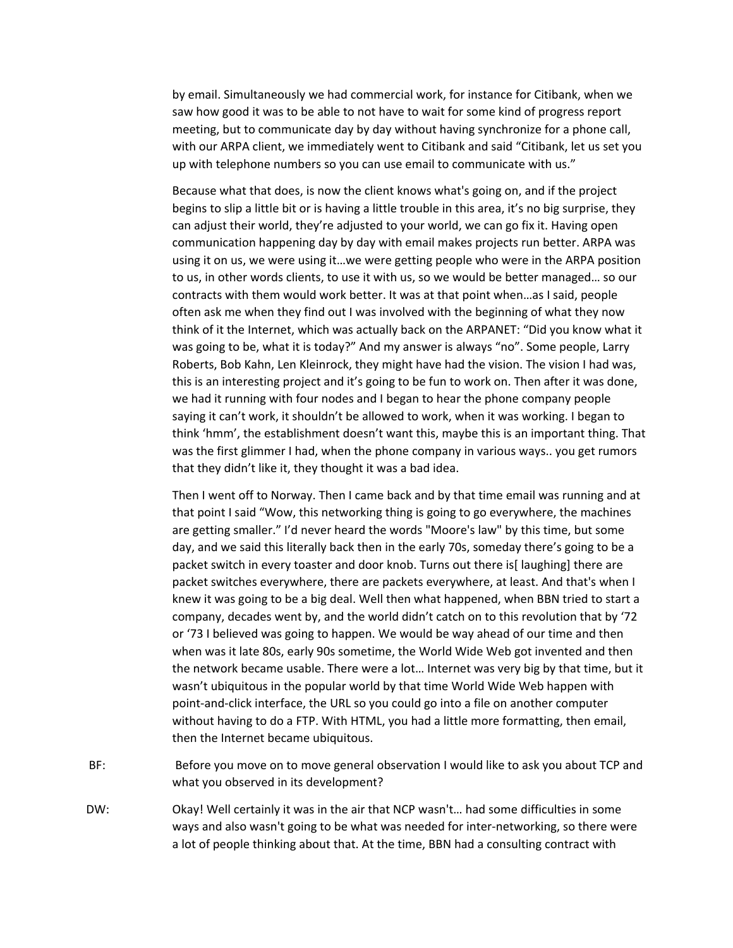by email. Simultaneously we had commercial work, for instance for Citibank, when we saw how good it was to be able to not have to wait for some kind of progress report meeting, but to communicate day by day without having synchronize for a phone call, with our ARPA client, we immediately went to Citibank and said "Citibank, let us set you up with telephone numbers so you can use email to communicate with us."

Because what that does, is now the client knows what's going on, and if the project begins to slip a little bit or is having a little trouble in this area, it's no big surprise, they can adjust their world, they're adjusted to your world, we can go fix it. Having open communication happening day by day with email makes projects run better. ARPA was using it on us, we were using it…we were getting people who were in the ARPA position to us, in other words clients, to use it with us, so we would be better managed… so our contracts with them would work better. It was at that point when…as I said, people often ask me when they find out I was involved with the beginning of what they now think of it the Internet, which was actually back on the ARPANET: "Did you know what it was going to be, what it is today?" And my answer is always "no". Some people, Larry Roberts, Bob Kahn, Len Kleinrock, they might have had the vision. The vision I had was, this is an interesting project and it's going to be fun to work on. Then after it was done, we had it running with four nodes and I began to hear the phone company people saying it can't work, it shouldn't be allowed to work, when it was working. I began to think 'hmm', the establishment doesn't want this, maybe this is an important thing. That was the first glimmer I had, when the phone company in various ways.. you get rumors that they didn't like it, they thought it was a bad idea.

Then I went off to Norway. Then I came back and by that time email was running and at that point I said "Wow, this networking thing is going to go everywhere, the machines are getting smaller." I'd never heard the words "Moore's law" by this time, but some day, and we said this literally back then in the early 70s, someday there's going to be a packet switch in every toaster and door knob. Turns out there is[ laughing] there are packet switches everywhere, there are packets everywhere, at least. And that's when I knew it was going to be a big deal. Well then what happened, when BBN tried to start a company, decades went by, and the world didn't catch on to this revolution that by '72 or '73 I believed was going to happen. We would be way ahead of our time and then when was it late 80s, early 90s sometime, the World Wide Web got invented and then the network became usable. There were a lot… Internet was very big by that time, but it wasn't ubiquitous in the popular world by that time World Wide Web happen with point‐and‐click interface, the URL so you could go into a file on another computer without having to do a FTP. With HTML, you had a little more formatting, then email, then the Internet became ubiquitous.

- BF: Before you move on to move general observation I would like to ask you about TCP and what you observed in its development?
- DW: Okay! Well certainly it was in the air that NCP wasn't… had some difficulties in some ways and also wasn't going to be what was needed for inter‐networking, so there were a lot of people thinking about that. At the time, BBN had a consulting contract with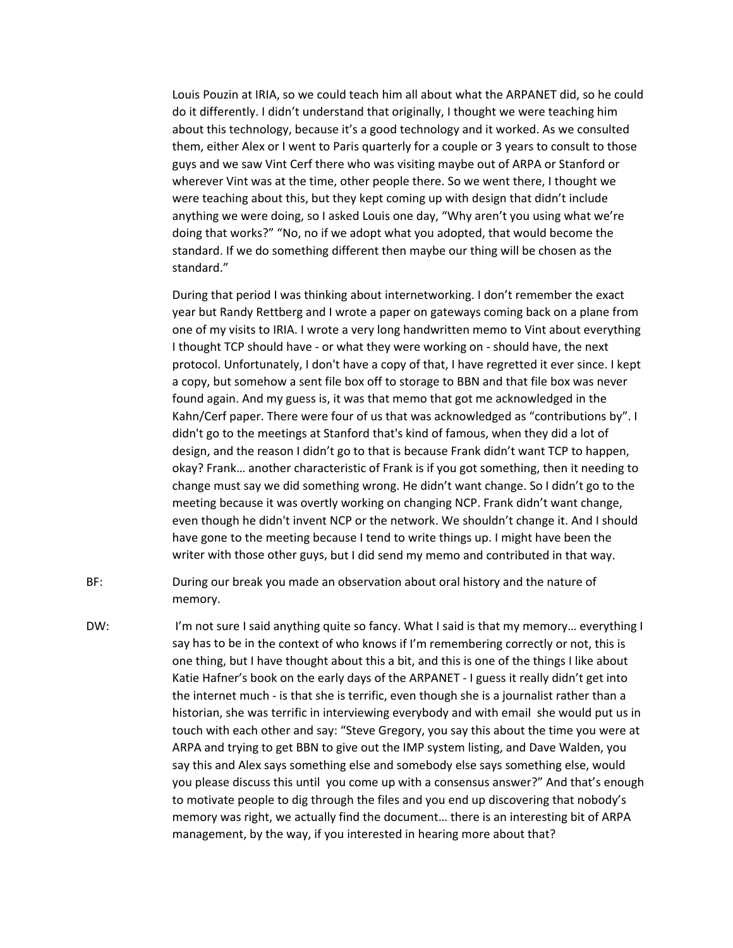Louis Pouzin at IRIA, so we could teach him all about what the ARPANET did, so he could do it differently. I didn't understand that originally, I thought we were teaching him about this technology, because it's a good technology and it worked. As we consulted them, either Alex or I went to Paris quarterly for a couple or 3 years to consult to those guys and we saw Vint Cerf there who was visiting maybe out of ARPA or Stanford or wherever Vint was at the time, other people there. So we went there, I thought we were teaching about this, but they kept coming up with design that didn't include anything we were doing, so I asked Louis one day, "Why aren't you using what we're doing that works?" "No, no if we adopt what you adopted, that would become the standard. If we do something different then maybe our thing will be chosen as the standard."

During that period I was thinking about internetworking. I don't remember the exact year but Randy Rettberg and I wrote a paper on gateways coming back on a plane from one of my visits to IRIA. I wrote a very long handwritten memo to Vint about everything I thought TCP should have ‐ or what they were working on ‐ should have, the next protocol. Unfortunately, I don't have a copy of that, I have regretted it ever since. I kept a copy, but somehow a sent file box off to storage to BBN and that file box was never found again. And my guess is, it was that memo that got me acknowledged in the Kahn/Cerf paper. There were four of us that was acknowledged as "contributions by". I didn't go to the meetings at Stanford that's kind of famous, when they did a lot of design, and the reason I didn't go to that is because Frank didn't want TCP to happen, okay? Frank… another characteristic of Frank is if you got something, then it needing to change must say we did something wrong. He didn't want change. So I didn't go to the meeting because it was overtly working on changing NCP. Frank didn't want change, even though he didn't invent NCP or the network. We shouldn't change it. And I should have gone to the meeting because I tend to write things up. I might have been the writer with those other guys, but I did send my memo and contributed in that way.

- BF: During our break you made an observation about oral history and the nature of memory.
- DW: I'm not sure I said anything quite so fancy. What I said is that my memory... everything I say has to be in the context of who knows if I'm remembering correctly or not, this is one thing, but I have thought about this a bit, and this is one of the things I like about Katie Hafner's book on the early days of the ARPANET - I guess it really didn't get into the internet much ‐ is that she is terrific, even though she is a journalist rather than a historian, she was terrific in interviewing everybody and with email she would put us in touch with each other and say: "Steve Gregory, you say this about the time you were at ARPA and trying to get BBN to give out the IMP system listing, and Dave Walden, you say this and Alex says something else and somebody else says something else, would you please discuss this until you come up with a consensus answer?" And that's enough to motivate people to dig through the files and you end up discovering that nobody's memory was right, we actually find the document… there is an interesting bit of ARPA management, by the way, if you interested in hearing more about that?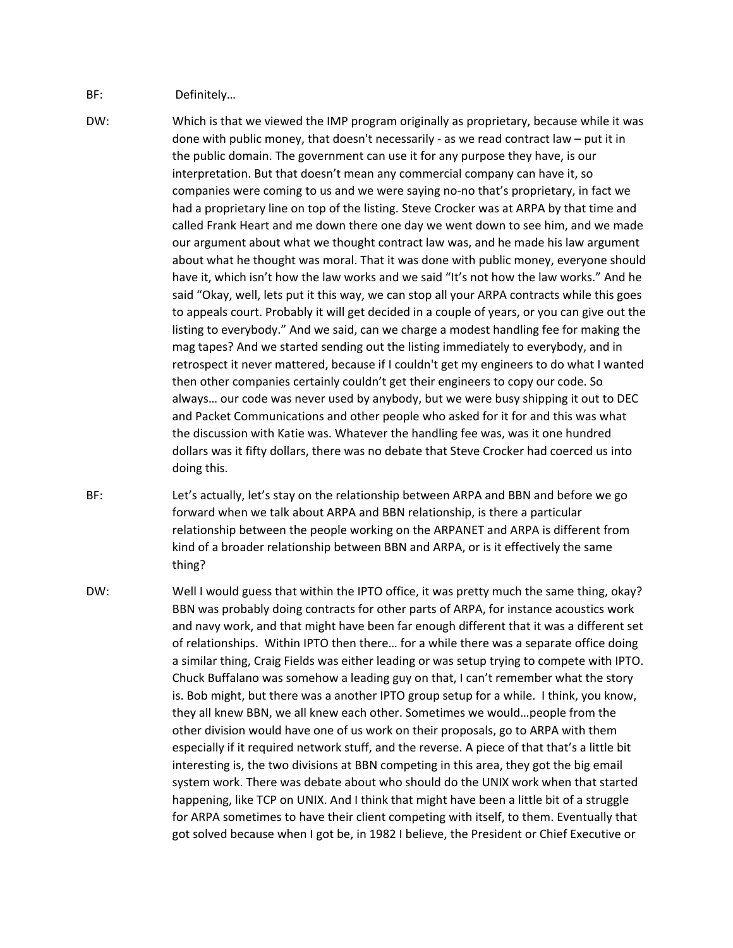## BF: Definitely...

- DW: Which is that we viewed the IMP program originally as proprietary, because while it was done with public money, that doesn't necessarily ‐ as we read contract law – put it in the public domain. The government can use it for any purpose they have, is our interpretation. But that doesn't mean any commercial company can have it, so companies were coming to us and we were saying no‐no that's proprietary, in fact we had a proprietary line on top of the listing. Steve Crocker was at ARPA by that time and called Frank Heart and me down there one day we went down to see him, and we made our argument about what we thought contract law was, and he made his law argument about what he thought was moral. That it was done with public money, everyone should have it, which isn't how the law works and we said "It's not how the law works." And he said "Okay, well, lets put it this way, we can stop all your ARPA contracts while this goes to appeals court. Probably it will get decided in a couple of years, or you can give out the listing to everybody." And we said, can we charge a modest handling fee for making the mag tapes? And we started sending out the listing immediately to everybody, and in retrospect it never mattered, because if I couldn't get my engineers to do what I wanted then other companies certainly couldn't get their engineers to copy our code. So always… our code was never used by anybody, but we were busy shipping it out to DEC and Packet Communications and other people who asked for it for and this was what the discussion with Katie was. Whatever the handling fee was, was it one hundred dollars was it fifty dollars, there was no debate that Steve Crocker had coerced us into doing this.
- BF: Let's actually, let's stay on the relationship between ARPA and BBN and before we go forward when we talk about ARPA and BBN relationship, is there a particular relationship between the people working on the ARPANET and ARPA is different from kind of a broader relationship between BBN and ARPA, or is it effectively the same thing?
- DW: Well I would guess that within the IPTO office, it was pretty much the same thing, okay? BBN was probably doing contracts for other parts of ARPA, for instance acoustics work and navy work, and that might have been far enough different that it was a different set of relationships. Within IPTO then there… for a while there was a separate office doing a similar thing, Craig Fields was either leading or was setup trying to compete with IPTO. Chuck Buffalano was somehow a leading guy on that, I can't remember what the story is. Bob might, but there was a another IPTO group setup for a while. I think, you know, they all knew BBN, we all knew each other. Sometimes we would…people from the other division would have one of us work on their proposals, go to ARPA with them especially if it required network stuff, and the reverse. A piece of that that's a little bit interesting is, the two divisions at BBN competing in this area, they got the big email system work. There was debate about who should do the UNIX work when that started happening, like TCP on UNIX. And I think that might have been a little bit of a struggle for ARPA sometimes to have their client competing with itself, to them. Eventually that got solved because when I got be, in 1982 I believe, the President or Chief Executive or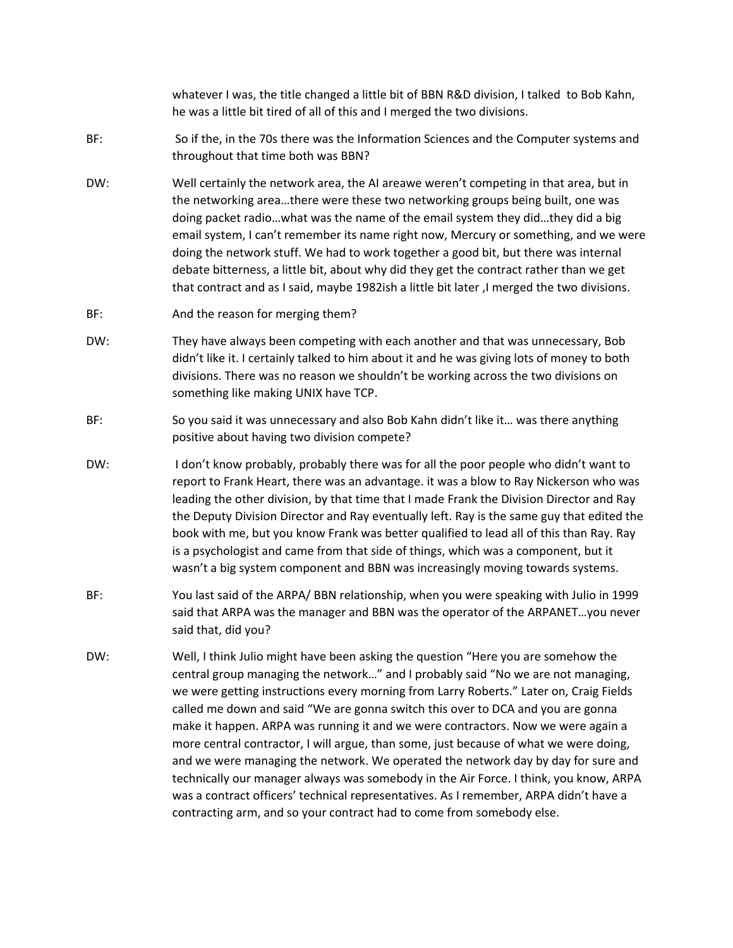whatever I was, the title changed a little bit of BBN R&D division, I talked to Bob Kahn, he was a little bit tired of all of this and I merged the two divisions.

- BF: So if the, in the 70s there was the Information Sciences and the Computer systems and throughout that time both was BBN?
- DW: Well certainly the network area, the AI areawe weren't competing in that area, but in the networking area…there were these two networking groups being built, one was doing packet radio…what was the name of the email system they did…they did a big email system, I can't remember its name right now, Mercury or something, and we were doing the network stuff. We had to work together a good bit, but there was internal debate bitterness, a little bit, about why did they get the contract rather than we get that contract and as I said, maybe 1982ish a little bit later ,I merged the two divisions.
- BF: Mand the reason for merging them?
- DW: They have always been competing with each another and that was unnecessary, Bob didn't like it. I certainly talked to him about it and he was giving lots of money to both divisions. There was no reason we shouldn't be working across the two divisions on something like making UNIX have TCP.
- BF: So you said it was unnecessary and also Bob Kahn didn't like it… was there anything positive about having two division compete?
- DW: I don't know probably, probably there was for all the poor people who didn't want to report to Frank Heart, there was an advantage. it was a blow to Ray Nickerson who was leading the other division, by that time that I made Frank the Division Director and Ray the Deputy Division Director and Ray eventually left. Ray is the same guy that edited the book with me, but you know Frank was better qualified to lead all of this than Ray. Ray is a psychologist and came from that side of things, which was a component, but it wasn't a big system component and BBN was increasingly moving towards systems.
- BF: You last said of the ARPA/ BBN relationship, when you were speaking with Julio in 1999 said that ARPA was the manager and BBN was the operator of the ARPANET…you never said that, did you?
- DW: Well, I think Julio might have been asking the question "Here you are somehow the central group managing the network…" and I probably said "No we are not managing, we were getting instructions every morning from Larry Roberts." Later on, Craig Fields called me down and said "We are gonna switch this over to DCA and you are gonna make it happen. ARPA was running it and we were contractors. Now we were again a more central contractor, I will argue, than some, just because of what we were doing, and we were managing the network. We operated the network day by day for sure and technically our manager always was somebody in the Air Force. I think, you know, ARPA was a contract officers' technical representatives. As I remember, ARPA didn't have a contracting arm, and so your contract had to come from somebody else.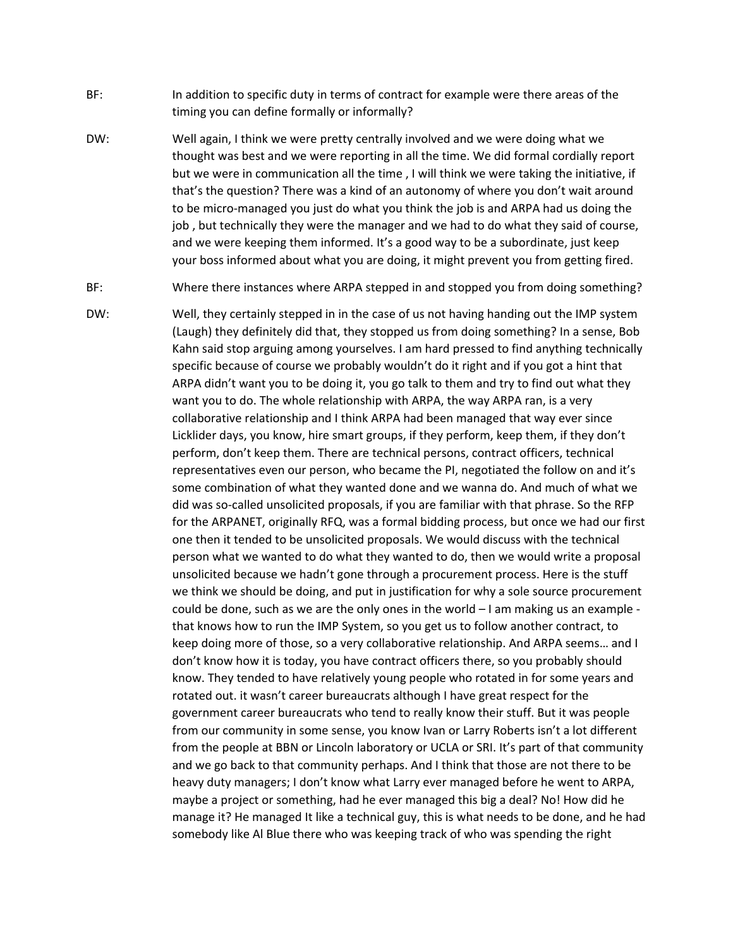- BF: In addition to specific duty in terms of contract for example were there areas of the timing you can define formally or informally?
- DW: Well again, I think we were pretty centrally involved and we were doing what we thought was best and we were reporting in all the time. We did formal cordially report but we were in communication all the time , I will think we were taking the initiative, if that's the question? There was a kind of an autonomy of where you don't wait around to be micro‐managed you just do what you think the job is and ARPA had us doing the job , but technically they were the manager and we had to do what they said of course, and we were keeping them informed. It's a good way to be a subordinate, just keep your boss informed about what you are doing, it might prevent you from getting fired.
- BF: Where there instances where ARPA stepped in and stopped you from doing something?
- DW: Well, they certainly stepped in in the case of us not having handing out the IMP system (Laugh) they definitely did that, they stopped us from doing something? In a sense, Bob Kahn said stop arguing among yourselves. I am hard pressed to find anything technically specific because of course we probably wouldn't do it right and if you got a hint that ARPA didn't want you to be doing it, you go talk to them and try to find out what they want you to do. The whole relationship with ARPA, the way ARPA ran, is a very collaborative relationship and I think ARPA had been managed that way ever since Licklider days, you know, hire smart groups, if they perform, keep them, if they don't perform, don't keep them. There are technical persons, contract officers, technical representatives even our person, who became the PI, negotiated the follow on and it's some combination of what they wanted done and we wanna do. And much of what we did was so‐called unsolicited proposals, if you are familiar with that phrase. So the RFP for the ARPANET, originally RFQ, was a formal bidding process, but once we had our first one then it tended to be unsolicited proposals. We would discuss with the technical person what we wanted to do what they wanted to do, then we would write a proposal unsolicited because we hadn't gone through a procurement process. Here is the stuff we think we should be doing, and put in justification for why a sole source procurement could be done, such as we are the only ones in the world  $-1$  am making us an example  $$ that knows how to run the IMP System, so you get us to follow another contract, to keep doing more of those, so a very collaborative relationship. And ARPA seems… and I don't know how it is today, you have contract officers there, so you probably should know. They tended to have relatively young people who rotated in for some years and rotated out. it wasn't career bureaucrats although I have great respect for the government career bureaucrats who tend to really know their stuff. But it was people from our community in some sense, you know Ivan or Larry Roberts isn't a lot different from the people at BBN or Lincoln laboratory or UCLA or SRI. It's part of that community and we go back to that community perhaps. And I think that those are not there to be heavy duty managers; I don't know what Larry ever managed before he went to ARPA, maybe a project or something, had he ever managed this big a deal? No! How did he manage it? He managed It like a technical guy, this is what needs to be done, and he had somebody like Al Blue there who was keeping track of who was spending the right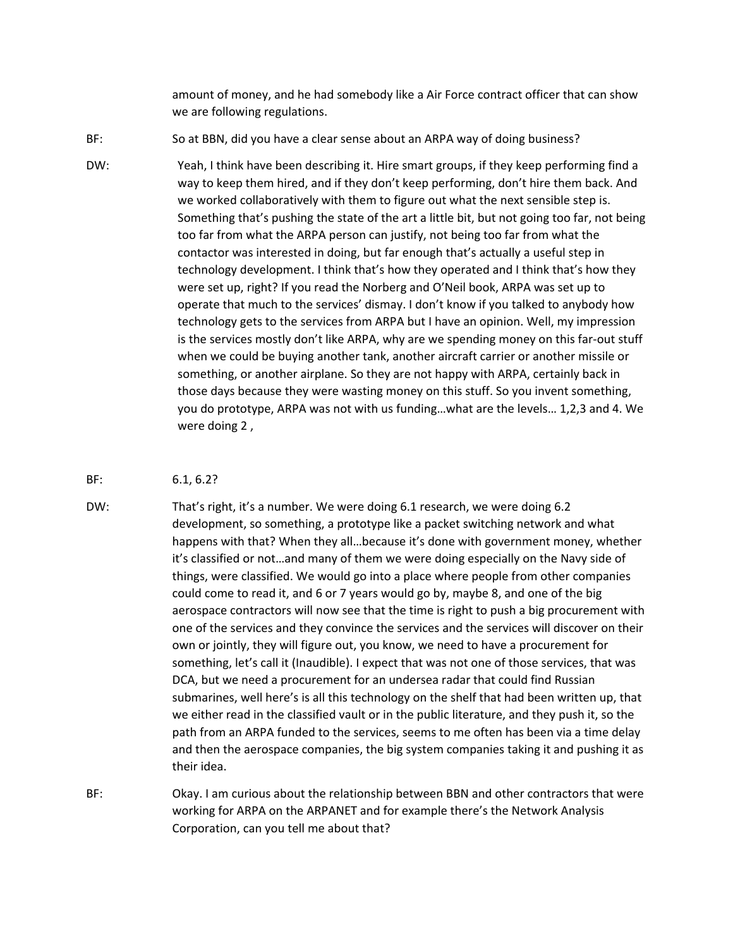amount of money, and he had somebody like a Air Force contract officer that can show we are following regulations.

- BF: So at BBN, did you have a clear sense about an ARPA way of doing business?
- DW: Yeah, I think have been describing it. Hire smart groups, if they keep performing find a way to keep them hired, and if they don't keep performing, don't hire them back. And we worked collaboratively with them to figure out what the next sensible step is. Something that's pushing the state of the art a little bit, but not going too far, not being too far from what the ARPA person can justify, not being too far from what the contactor was interested in doing, but far enough that's actually a useful step in technology development. I think that's how they operated and I think that's how they were set up, right? If you read the Norberg and O'Neil book, ARPA was set up to operate that much to the services' dismay. I don't know if you talked to anybody how technology gets to the services from ARPA but I have an opinion. Well, my impression is the services mostly don't like ARPA, why are we spending money on this far‐out stuff when we could be buying another tank, another aircraft carrier or another missile or something, or another airplane. So they are not happy with ARPA, certainly back in those days because they were wasting money on this stuff. So you invent something, you do prototype, ARPA was not with us funding…what are the levels… 1,2,3 and 4. We were doing 2 ,
- BF: 6.1, 6.2?
- DW: That's right, it's a number. We were doing 6.1 research, we were doing 6.2 development, so something, a prototype like a packet switching network and what happens with that? When they all…because it's done with government money, whether it's classified or not…and many of them we were doing especially on the Navy side of things, were classified. We would go into a place where people from other companies could come to read it, and 6 or 7 years would go by, maybe 8, and one of the big aerospace contractors will now see that the time is right to push a big procurement with one of the services and they convince the services and the services will discover on their own or jointly, they will figure out, you know, we need to have a procurement for something, let's call it (Inaudible). I expect that was not one of those services, that was DCA, but we need a procurement for an undersea radar that could find Russian submarines, well here's is all this technology on the shelf that had been written up, that we either read in the classified vault or in the public literature, and they push it, so the path from an ARPA funded to the services, seems to me often has been via a time delay and then the aerospace companies, the big system companies taking it and pushing it as their idea.
- BF: Okay. I am curious about the relationship between BBN and other contractors that were working for ARPA on the ARPANET and for example there's the Network Analysis Corporation, can you tell me about that?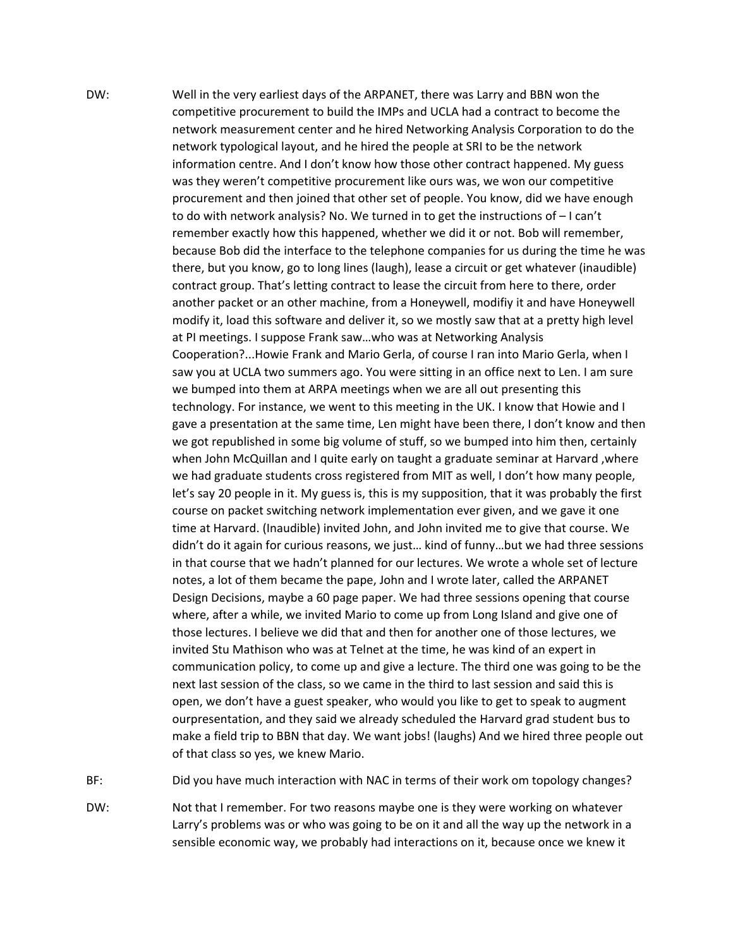DW: Well in the very earliest days of the ARPANET, there was Larry and BBN won the competitive procurement to build the IMPs and UCLA had a contract to become the network measurement center and he hired Networking Analysis Corporation to do the network typological layout, and he hired the people at SRI to be the network information centre. And I don't know how those other contract happened. My guess was they weren't competitive procurement like ours was, we won our competitive procurement and then joined that other set of people. You know, did we have enough to do with network analysis? No. We turned in to get the instructions of – I can't remember exactly how this happened, whether we did it or not. Bob will remember, because Bob did the interface to the telephone companies for us during the time he was there, but you know, go to long lines (laugh), lease a circuit or get whatever (inaudible) contract group. That's letting contract to lease the circuit from here to there, order another packet or an other machine, from a Honeywell, modifiy it and have Honeywell modify it, load this software and deliver it, so we mostly saw that at a pretty high level at PI meetings. I suppose Frank saw…who was at Networking Analysis Cooperation?...Howie Frank and Mario Gerla, of course I ran into Mario Gerla, when I saw you at UCLA two summers ago. You were sitting in an office next to Len. I am sure we bumped into them at ARPA meetings when we are all out presenting this technology. For instance, we went to this meeting in the UK. I know that Howie and I gave a presentation at the same time, Len might have been there, I don't know and then we got republished in some big volume of stuff, so we bumped into him then, certainly when John McQuillan and I quite early on taught a graduate seminar at Harvard ,where we had graduate students cross registered from MIT as well, I don't how many people, let's say 20 people in it. My guess is, this is my supposition, that it was probably the first course on packet switching network implementation ever given, and we gave it one time at Harvard. (Inaudible) invited John, and John invited me to give that course. We didn't do it again for curious reasons, we just… kind of funny…but we had three sessions in that course that we hadn't planned for our lectures. We wrote a whole set of lecture notes, a lot of them became the pape, John and I wrote later, called the ARPANET Design Decisions, maybe a 60 page paper. We had three sessions opening that course where, after a while, we invited Mario to come up from Long Island and give one of those lectures. I believe we did that and then for another one of those lectures, we invited Stu Mathison who was at Telnet at the time, he was kind of an expert in communication policy, to come up and give a lecture. The third one was going to be the next last session of the class, so we came in the third to last session and said this is open, we don't have a guest speaker, who would you like to get to speak to augment ourpresentation, and they said we already scheduled the Harvard grad student bus to make a field trip to BBN that day. We want jobs! (laughs) And we hired three people out of that class so yes, we knew Mario.

BF: Did you have much interaction with NAC in terms of their work om topology changes?

DW: Not that I remember. For two reasons maybe one is they were working on whatever Larry's problems was or who was going to be on it and all the way up the network in a sensible economic way, we probably had interactions on it, because once we knew it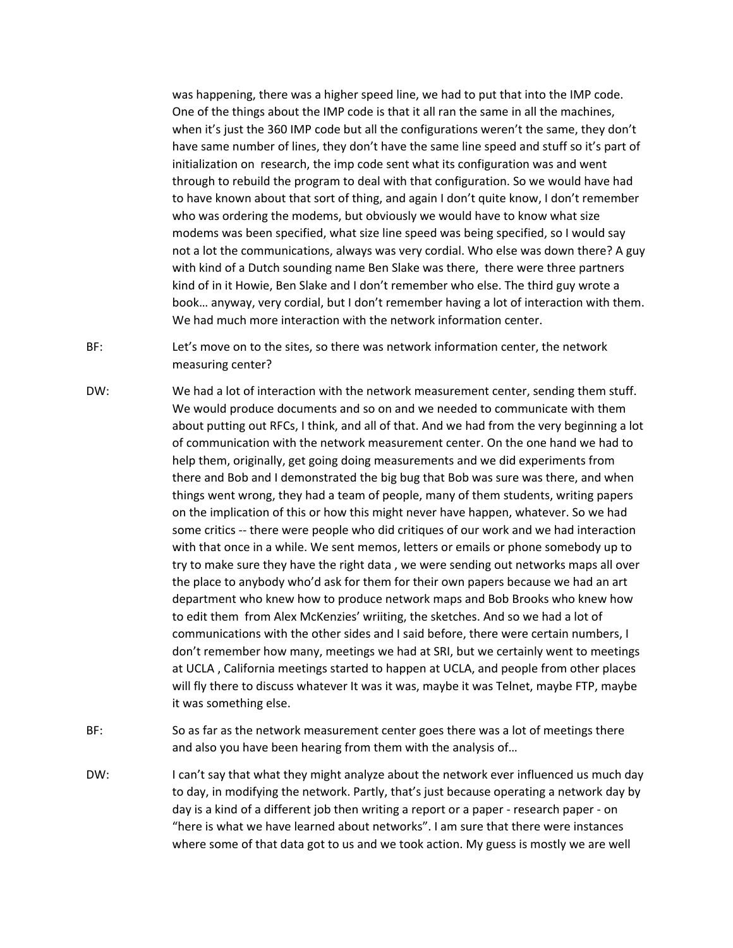was happening, there was a higher speed line, we had to put that into the IMP code. One of the things about the IMP code is that it all ran the same in all the machines, when it's just the 360 IMP code but all the configurations weren't the same, they don't have same number of lines, they don't have the same line speed and stuff so it's part of initialization on research, the imp code sent what its configuration was and went through to rebuild the program to deal with that configuration. So we would have had to have known about that sort of thing, and again I don't quite know, I don't remember who was ordering the modems, but obviously we would have to know what size modems was been specified, what size line speed was being specified, so I would say not a lot the communications, always was very cordial. Who else was down there? A guy with kind of a Dutch sounding name Ben Slake was there, there were three partners kind of in it Howie, Ben Slake and I don't remember who else. The third guy wrote a book… anyway, very cordial, but I don't remember having a lot of interaction with them. We had much more interaction with the network information center.

BF: Let's move on to the sites, so there was network information center, the network measuring center?

- DW: We had a lot of interaction with the network measurement center, sending them stuff. We would produce documents and so on and we needed to communicate with them about putting out RFCs, I think, and all of that. And we had from the very beginning a lot of communication with the network measurement center. On the one hand we had to help them, originally, get going doing measurements and we did experiments from there and Bob and I demonstrated the big bug that Bob was sure was there, and when things went wrong, they had a team of people, many of them students, writing papers on the implication of this or how this might never have happen, whatever. So we had some critics ‐‐ there were people who did critiques of our work and we had interaction with that once in a while. We sent memos, letters or emails or phone somebody up to try to make sure they have the right data , we were sending out networks maps all over the place to anybody who'd ask for them for their own papers because we had an art department who knew how to produce network maps and Bob Brooks who knew how to edit them from Alex McKenzies' wriiting, the sketches. And so we had a lot of communications with the other sides and I said before, there were certain numbers, I don't remember how many, meetings we had at SRI, but we certainly went to meetings at UCLA , California meetings started to happen at UCLA, and people from other places will fly there to discuss whatever It was it was, maybe it was Telnet, maybe FTP, maybe it was something else.
- BF: So as far as the network measurement center goes there was a lot of meetings there and also you have been hearing from them with the analysis of…
- DW: I can't say that what they might analyze about the network ever influenced us much day to day, in modifying the network. Partly, that's just because operating a network day by day is a kind of a different job then writing a report or a paper ‐ research paper ‐ on "here is what we have learned about networks". I am sure that there were instances where some of that data got to us and we took action. My guess is mostly we are well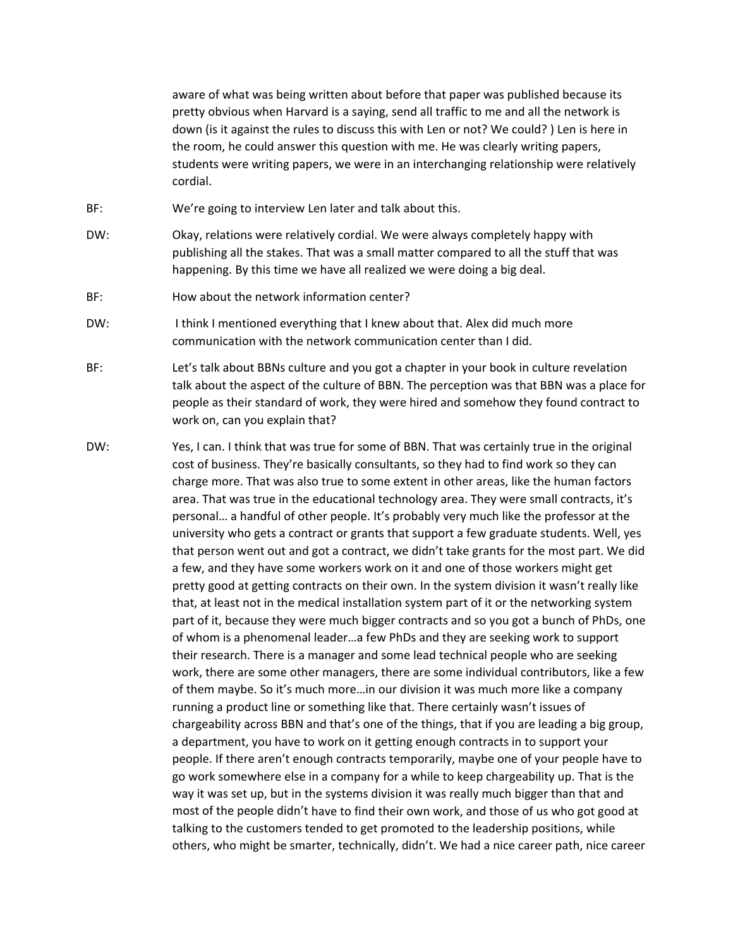aware of what was being written about before that paper was published because its pretty obvious when Harvard is a saying, send all traffic to me and all the network is down (is it against the rules to discuss this with Len or not? We could? ) Len is here in the room, he could answer this question with me. He was clearly writing papers, students were writing papers, we were in an interchanging relationship were relatively cordial.

- BF: We're going to interview Len later and talk about this.
- DW: Okay, relations were relatively cordial. We were always completely happy with publishing all the stakes. That was a small matter compared to all the stuff that was happening. By this time we have all realized we were doing a big deal.
- BF: How about the network information center?
- DW: I think I mentioned everything that I knew about that. Alex did much more communication with the network communication center than I did.
- BF: Let's talk about BBNs culture and you got a chapter in your book in culture revelation talk about the aspect of the culture of BBN. The perception was that BBN was a place for people as their standard of work, they were hired and somehow they found contract to work on, can you explain that?
- DW: Yes, I can. I think that was true for some of BBN. That was certainly true in the original cost of business. They're basically consultants, so they had to find work so they can charge more. That was also true to some extent in other areas, like the human factors area. That was true in the educational technology area. They were small contracts, it's personal… a handful of other people. It's probably very much like the professor at the university who gets a contract or grants that support a few graduate students. Well, yes that person went out and got a contract, we didn't take grants for the most part. We did a few, and they have some workers work on it and one of those workers might get pretty good at getting contracts on their own. In the system division it wasn't really like that, at least not in the medical installation system part of it or the networking system part of it, because they were much bigger contracts and so you got a bunch of PhDs, one of whom is a phenomenal leader…a few PhDs and they are seeking work to support their research. There is a manager and some lead technical people who are seeking work, there are some other managers, there are some individual contributors, like a few of them maybe. So it's much more…in our division it was much more like a company running a product line or something like that. There certainly wasn't issues of chargeability across BBN and that's one of the things, that if you are leading a big group, a department, you have to work on it getting enough contracts in to support your people. If there aren't enough contracts temporarily, maybe one of your people have to go work somewhere else in a company for a while to keep chargeability up. That is the way it was set up, but in the systems division it was really much bigger than that and most of the people didn't have to find their own work, and those of us who got good at talking to the customers tended to get promoted to the leadership positions, while others, who might be smarter, technically, didn't. We had a nice career path, nice career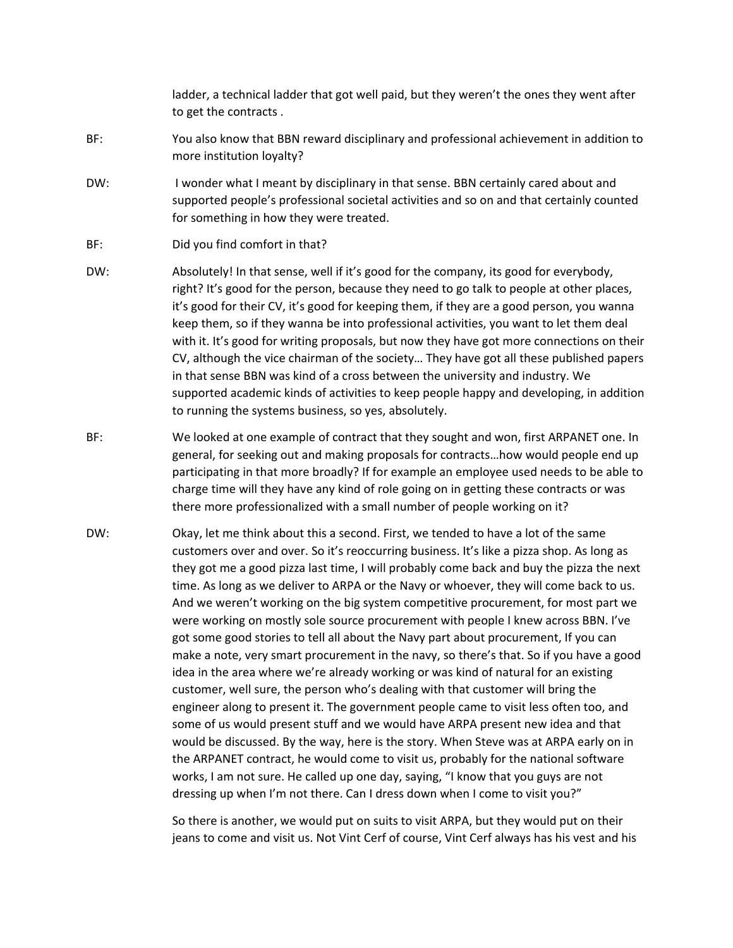ladder, a technical ladder that got well paid, but they weren't the ones they went after to get the contracts .

- BF: You also know that BBN reward disciplinary and professional achievement in addition to more institution loyalty?
- DW: I wonder what I meant by disciplinary in that sense. BBN certainly cared about and supported people's professional societal activities and so on and that certainly counted for something in how they were treated.
- BF: Did you find comfort in that?
- DW: Absolutely! In that sense, well if it's good for the company, its good for everybody, right? It's good for the person, because they need to go talk to people at other places, it's good for their CV, it's good for keeping them, if they are a good person, you wanna keep them, so if they wanna be into professional activities, you want to let them deal with it. It's good for writing proposals, but now they have got more connections on their CV, although the vice chairman of the society… They have got all these published papers in that sense BBN was kind of a cross between the university and industry. We supported academic kinds of activities to keep people happy and developing, in addition to running the systems business, so yes, absolutely.
- BF: We looked at one example of contract that they sought and won, first ARPANET one. In general, for seeking out and making proposals for contracts…how would people end up participating in that more broadly? If for example an employee used needs to be able to charge time will they have any kind of role going on in getting these contracts or was there more professionalized with a small number of people working on it?
- DW: Okay, let me think about this a second. First, we tended to have a lot of the same customers over and over. So it's reoccurring business. It's like a pizza shop. As long as they got me a good pizza last time, I will probably come back and buy the pizza the next time. As long as we deliver to ARPA or the Navy or whoever, they will come back to us. And we weren't working on the big system competitive procurement, for most part we were working on mostly sole source procurement with people I knew across BBN. I've got some good stories to tell all about the Navy part about procurement, If you can make a note, very smart procurement in the navy, so there's that. So if you have a good idea in the area where we're already working or was kind of natural for an existing customer, well sure, the person who's dealing with that customer will bring the engineer along to present it. The government people came to visit less often too, and some of us would present stuff and we would have ARPA present new idea and that would be discussed. By the way, here is the story. When Steve was at ARPA early on in the ARPANET contract, he would come to visit us, probably for the national software works, I am not sure. He called up one day, saying, "I know that you guys are not dressing up when I'm not there. Can I dress down when I come to visit you?"

So there is another, we would put on suits to visit ARPA, but they would put on their jeans to come and visit us. Not Vint Cerf of course, Vint Cerf always has his vest and his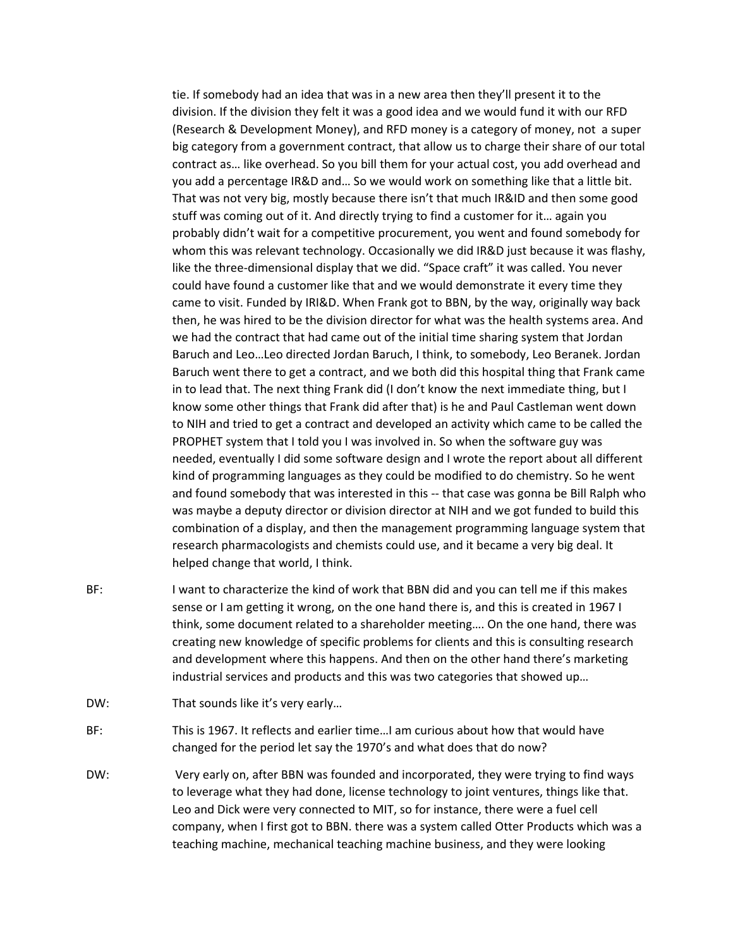tie. If somebody had an idea that was in a new area then they'll present it to the division. If the division they felt it was a good idea and we would fund it with our RFD (Research & Development Money), and RFD money is a category of money, not a super big category from a government contract, that allow us to charge their share of our total contract as… like overhead. So you bill them for your actual cost, you add overhead and you add a percentage IR&D and… So we would work on something like that a little bit. That was not very big, mostly because there isn't that much IR&ID and then some good stuff was coming out of it. And directly trying to find a customer for it… again you probably didn't wait for a competitive procurement, you went and found somebody for whom this was relevant technology. Occasionally we did IR&D just because it was flashy, like the three‐dimensional display that we did. "Space craft" it was called. You never could have found a customer like that and we would demonstrate it every time they came to visit. Funded by IRI&D. When Frank got to BBN, by the way, originally way back then, he was hired to be the division director for what was the health systems area. And we had the contract that had came out of the initial time sharing system that Jordan Baruch and Leo…Leo directed Jordan Baruch, I think, to somebody, Leo Beranek. Jordan Baruch went there to get a contract, and we both did this hospital thing that Frank came in to lead that. The next thing Frank did (I don't know the next immediate thing, but I know some other things that Frank did after that) is he and Paul Castleman went down to NIH and tried to get a contract and developed an activity which came to be called the PROPHET system that I told you I was involved in. So when the software guy was needed, eventually I did some software design and I wrote the report about all different kind of programming languages as they could be modified to do chemistry. So he went and found somebody that was interested in this -- that case was gonna be Bill Ralph who was maybe a deputy director or division director at NIH and we got funded to build this combination of a display, and then the management programming language system that research pharmacologists and chemists could use, and it became a very big deal. It helped change that world, I think.

- BF: I want to characterize the kind of work that BBN did and you can tell me if this makes sense or I am getting it wrong, on the one hand there is, and this is created in 1967 I think, some document related to a shareholder meeting…. On the one hand, there was creating new knowledge of specific problems for clients and this is consulting research and development where this happens. And then on the other hand there's marketing industrial services and products and this was two categories that showed up…
- DW: That sounds like it's very early...
- BF: This is 1967. It reflects and earlier time…I am curious about how that would have changed for the period let say the 1970's and what does that do now?
- DW: Very early on, after BBN was founded and incorporated, they were trying to find ways to leverage what they had done, license technology to joint ventures, things like that. Leo and Dick were very connected to MIT, so for instance, there were a fuel cell company, when I first got to BBN. there was a system called Otter Products which was a teaching machine, mechanical teaching machine business, and they were looking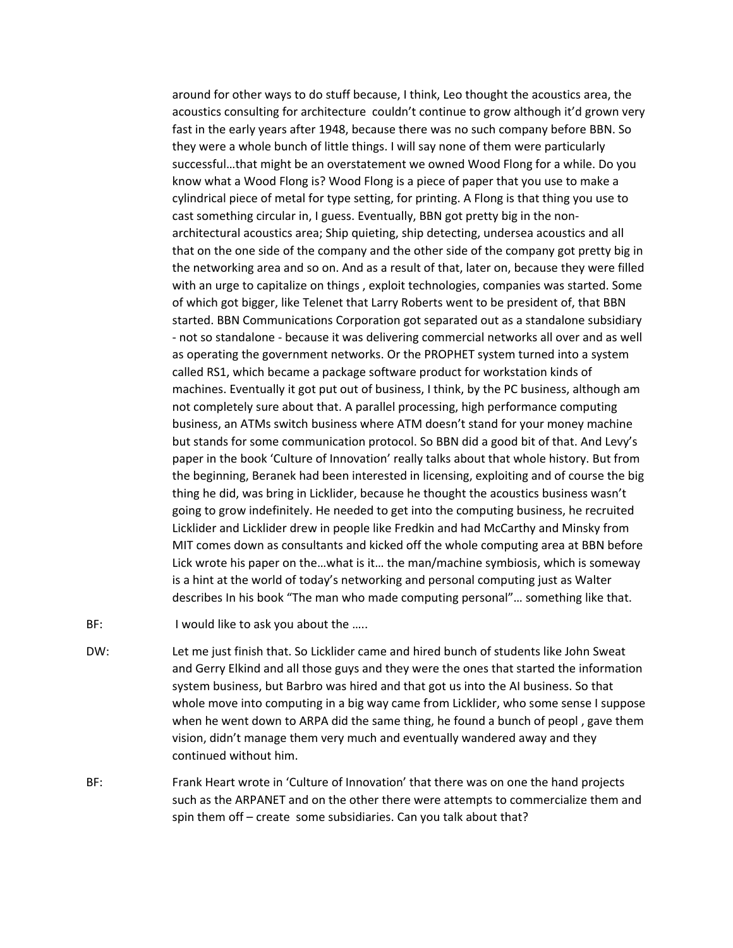around for other ways to do stuff because, I think, Leo thought the acoustics area, the acoustics consulting for architecture couldn't continue to grow although it'd grown very fast in the early years after 1948, because there was no such company before BBN. So they were a whole bunch of little things. I will say none of them were particularly successful…that might be an overstatement we owned Wood Flong for a while. Do you know what a Wood Flong is? Wood Flong is a piece of paper that you use to make a cylindrical piece of metal for type setting, for printing. A Flong is that thing you use to cast something circular in, I guess. Eventually, BBN got pretty big in the non‐ architectural acoustics area; Ship quieting, ship detecting, undersea acoustics and all that on the one side of the company and the other side of the company got pretty big in the networking area and so on. And as a result of that, later on, because they were filled with an urge to capitalize on things , exploit technologies, companies was started. Some of which got bigger, like Telenet that Larry Roberts went to be president of, that BBN started. BBN Communications Corporation got separated out as a standalone subsidiary ‐ not so standalone ‐ because it was delivering commercial networks all over and as well as operating the government networks. Or the PROPHET system turned into a system called RS1, which became a package software product for workstation kinds of machines. Eventually it got put out of business, I think, by the PC business, although am not completely sure about that. A parallel processing, high performance computing business, an ATMs switch business where ATM doesn't stand for your money machine but stands for some communication protocol. So BBN did a good bit of that. And Levy's paper in the book 'Culture of Innovation' really talks about that whole history. But from the beginning, Beranek had been interested in licensing, exploiting and of course the big thing he did, was bring in Licklider, because he thought the acoustics business wasn't going to grow indefinitely. He needed to get into the computing business, he recruited Licklider and Licklider drew in people like Fredkin and had McCarthy and Minsky from MIT comes down as consultants and kicked off the whole computing area at BBN before Lick wrote his paper on the…what is it… the man/machine symbiosis, which is someway is a hint at the world of today's networking and personal computing just as Walter describes In his book "The man who made computing personal"… something like that.

- BF: I would like to ask you about the .....
- DW: Let me just finish that. So Licklider came and hired bunch of students like John Sweat and Gerry Elkind and all those guys and they were the ones that started the information system business, but Barbro was hired and that got us into the AI business. So that whole move into computing in a big way came from Licklider, who some sense I suppose when he went down to ARPA did the same thing, he found a bunch of peopl , gave them vision, didn't manage them very much and eventually wandered away and they continued without him.
- BF: Frank Heart wrote in 'Culture of Innovation' that there was on one the hand projects such as the ARPANET and on the other there were attempts to commercialize them and spin them off – create some subsidiaries. Can you talk about that?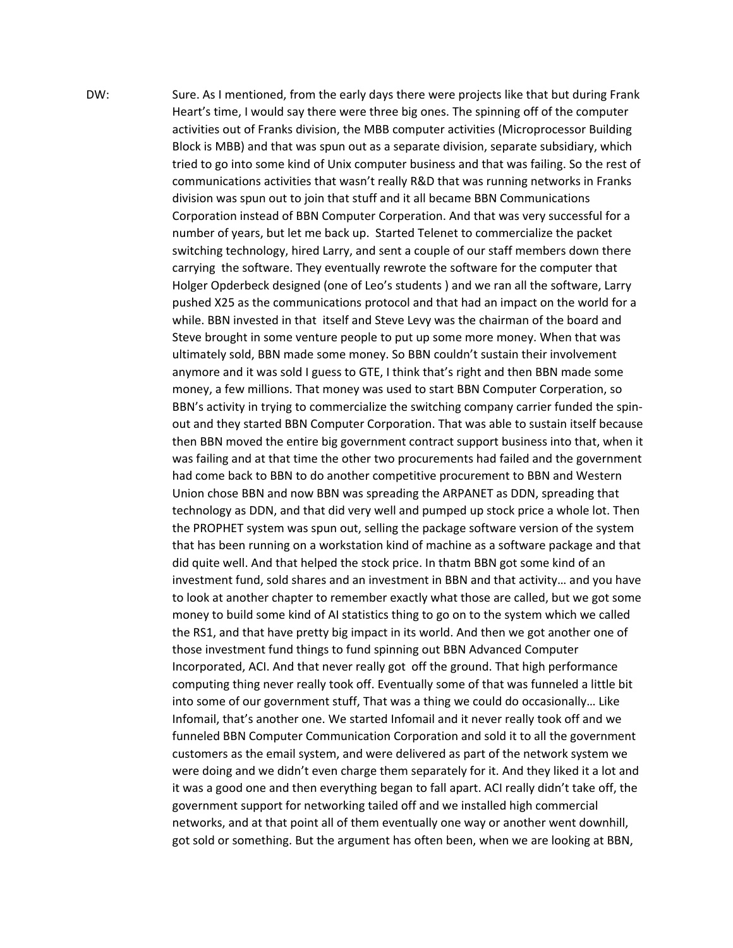DW: Sure. As I mentioned, from the early days there were projects like that but during Frank Heart's time, I would say there were three big ones. The spinning off of the computer activities out of Franks division, the MBB computer activities (Microprocessor Building Block is MBB) and that was spun out as a separate division, separate subsidiary, which tried to go into some kind of Unix computer business and that was failing. So the rest of communications activities that wasn't really R&D that was running networks in Franks division was spun out to join that stuff and it all became BBN Communications Corporation instead of BBN Computer Corperation. And that was very successful for a number of years, but let me back up. Started Telenet to commercialize the packet switching technology, hired Larry, and sent a couple of our staff members down there carrying the software. They eventually rewrote the software for the computer that Holger Opderbeck designed (one of Leo's students ) and we ran all the software, Larry pushed X25 as the communications protocol and that had an impact on the world for a while. BBN invested in that itself and Steve Levy was the chairman of the board and Steve brought in some venture people to put up some more money. When that was ultimately sold, BBN made some money. So BBN couldn't sustain their involvement anymore and it was sold I guess to GTE, I think that's right and then BBN made some money, a few millions. That money was used to start BBN Computer Corperation, so BBN's activity in trying to commercialize the switching company carrier funded the spinout and they started BBN Computer Corporation. That was able to sustain itself because then BBN moved the entire big government contract support business into that, when it was failing and at that time the other two procurements had failed and the government had come back to BBN to do another competitive procurement to BBN and Western Union chose BBN and now BBN was spreading the ARPANET as DDN, spreading that technology as DDN, and that did very well and pumped up stock price a whole lot. Then the PROPHET system was spun out, selling the package software version of the system that has been running on a workstation kind of machine as a software package and that did quite well. And that helped the stock price. In thatm BBN got some kind of an investment fund, sold shares and an investment in BBN and that activity… and you have to look at another chapter to remember exactly what those are called, but we got some money to build some kind of AI statistics thing to go on to the system which we called the RS1, and that have pretty big impact in its world. And then we got another one of those investment fund things to fund spinning out BBN Advanced Computer Incorporated, ACI. And that never really got off the ground. That high performance computing thing never really took off. Eventually some of that was funneled a little bit into some of our government stuff, That was a thing we could do occasionally… Like Infomail, that's another one. We started Infomail and it never really took off and we funneled BBN Computer Communication Corporation and sold it to all the government customers as the email system, and were delivered as part of the network system we were doing and we didn't even charge them separately for it. And they liked it a lot and it was a good one and then everything began to fall apart. ACI really didn't take off, the government support for networking tailed off and we installed high commercial networks, and at that point all of them eventually one way or another went downhill, got sold or something. But the argument has often been, when we are looking at BBN,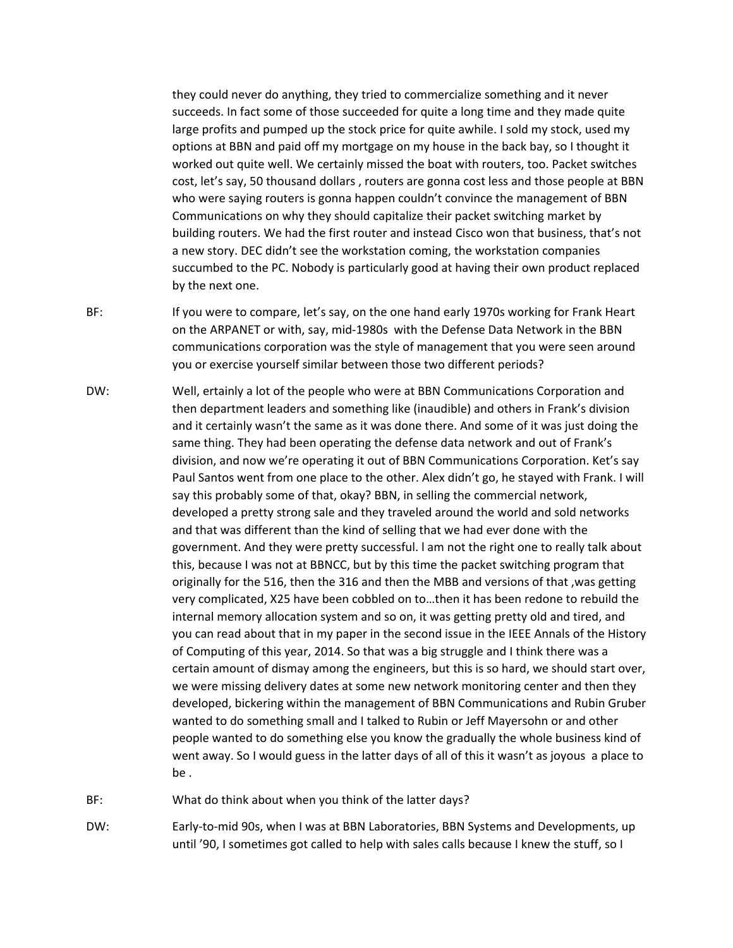they could never do anything, they tried to commercialize something and it never succeeds. In fact some of those succeeded for quite a long time and they made quite large profits and pumped up the stock price for quite awhile. I sold my stock, used my options at BBN and paid off my mortgage on my house in the back bay, so I thought it worked out quite well. We certainly missed the boat with routers, too. Packet switches cost, let's say, 50 thousand dollars , routers are gonna cost less and those people at BBN who were saying routers is gonna happen couldn't convince the management of BBN Communications on why they should capitalize their packet switching market by building routers. We had the first router and instead Cisco won that business, that's not a new story. DEC didn't see the workstation coming, the workstation companies succumbed to the PC. Nobody is particularly good at having their own product replaced by the next one.

- BF: If you were to compare, let's say, on the one hand early 1970s working for Frank Heart on the ARPANET or with, say, mid‐1980s with the Defense Data Network in the BBN communications corporation was the style of management that you were seen around you or exercise yourself similar between those two different periods?
- DW: Well, ertainly a lot of the people who were at BBN Communications Corporation and then department leaders and something like (inaudible) and others in Frank's division and it certainly wasn't the same as it was done there. And some of it was just doing the same thing. They had been operating the defense data network and out of Frank's division, and now we're operating it out of BBN Communications Corporation. Ket's say Paul Santos went from one place to the other. Alex didn't go, he stayed with Frank. I will say this probably some of that, okay? BBN, in selling the commercial network, developed a pretty strong sale and they traveled around the world and sold networks and that was different than the kind of selling that we had ever done with the government. And they were pretty successful. l am not the right one to really talk about this, because I was not at BBNCC, but by this time the packet switching program that originally for the 516, then the 316 and then the MBB and versions of that ,was getting very complicated, X25 have been cobbled on to…then it has been redone to rebuild the internal memory allocation system and so on, it was getting pretty old and tired, and you can read about that in my paper in the second issue in the IEEE Annals of the History of Computing of this year, 2014. So that was a big struggle and I think there was a certain amount of dismay among the engineers, but this is so hard, we should start over, we were missing delivery dates at some new network monitoring center and then they developed, bickering within the management of BBN Communications and Rubin Gruber wanted to do something small and I talked to Rubin or Jeff Mayersohn or and other people wanted to do something else you know the gradually the whole business kind of went away. So I would guess in the latter days of all of this it wasn't as joyous a place to be .
- BF: What do think about when you think of the latter days?
- DW: Early-to-mid 90s, when I was at BBN Laboratories, BBN Systems and Developments, up until '90, I sometimes got called to help with sales calls because I knew the stuff, so I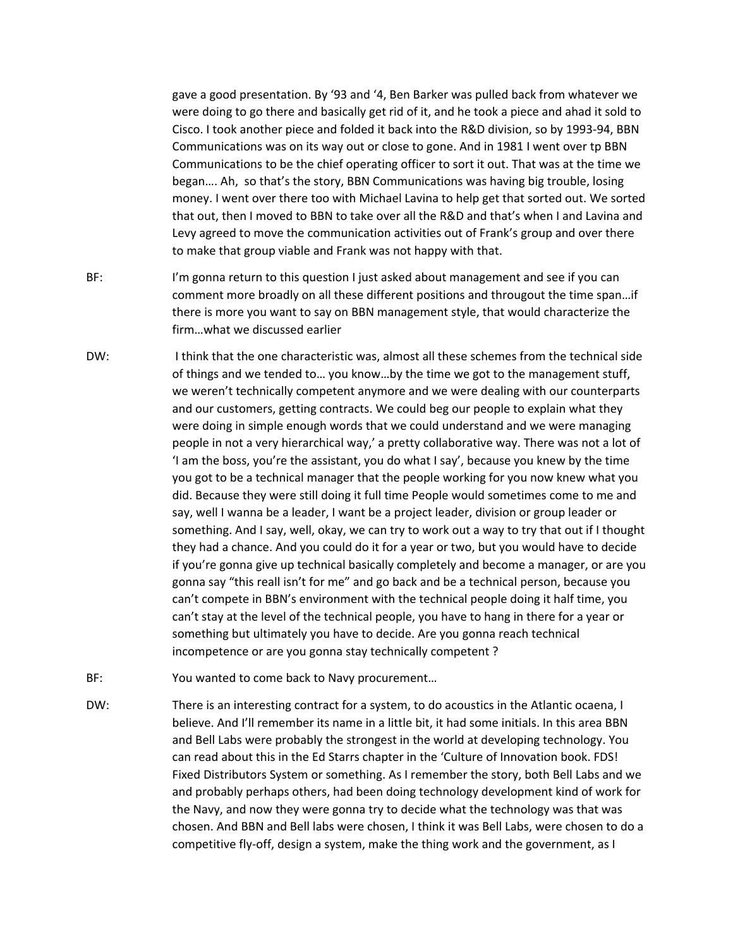gave a good presentation. By '93 and '4, Ben Barker was pulled back from whatever we were doing to go there and basically get rid of it, and he took a piece and ahad it sold to Cisco. I took another piece and folded it back into the R&D division, so by 1993‐94, BBN Communications was on its way out or close to gone. And in 1981 I went over tp BBN Communications to be the chief operating officer to sort it out. That was at the time we began…. Ah, so that's the story, BBN Communications was having big trouble, losing money. I went over there too with Michael Lavina to help get that sorted out. We sorted that out, then I moved to BBN to take over all the R&D and that's when I and Lavina and Levy agreed to move the communication activities out of Frank's group and over there to make that group viable and Frank was not happy with that.

- BF: I'm gonna return to this question I just asked about management and see if you can comment more broadly on all these different positions and througout the time span…if there is more you want to say on BBN management style, that would characterize the firm…what we discussed earlier
- DW: I think that the one characteristic was, almost all these schemes from the technical side of things and we tended to… you know…by the time we got to the management stuff, we weren't technically competent anymore and we were dealing with our counterparts and our customers, getting contracts. We could beg our people to explain what they were doing in simple enough words that we could understand and we were managing people in not a very hierarchical way,' a pretty collaborative way. There was not a lot of 'I am the boss, you're the assistant, you do what I say', because you knew by the time you got to be a technical manager that the people working for you now knew what you did. Because they were still doing it full time People would sometimes come to me and say, well I wanna be a leader, I want be a project leader, division or group leader or something. And I say, well, okay, we can try to work out a way to try that out if I thought they had a chance. And you could do it for a year or two, but you would have to decide if you're gonna give up technical basically completely and become a manager, or are you gonna say "this reall isn't for me" and go back and be a technical person, because you can't compete in BBN's environment with the technical people doing it half time, you can't stay at the level of the technical people, you have to hang in there for a year or something but ultimately you have to decide. Are you gonna reach technical incompetence or are you gonna stay technically competent ?
- BF: You wanted to come back to Navy procurement...
- DW: There is an interesting contract for a system, to do acoustics in the Atlantic ocaena, I believe. And I'll remember its name in a little bit, it had some initials. In this area BBN and Bell Labs were probably the strongest in the world at developing technology. You can read about this in the Ed Starrs chapter in the 'Culture of Innovation book. FDS! Fixed Distributors System or something. As I remember the story, both Bell Labs and we and probably perhaps others, had been doing technology development kind of work for the Navy, and now they were gonna try to decide what the technology was that was chosen. And BBN and Bell labs were chosen, I think it was Bell Labs, were chosen to do a competitive fly-off, design a system, make the thing work and the government, as I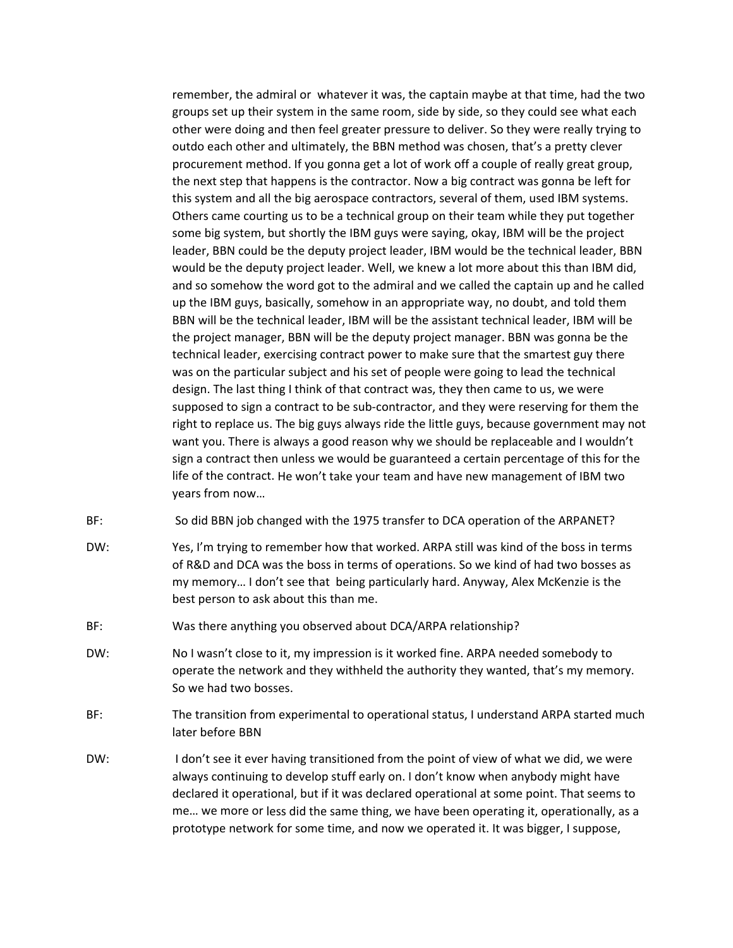remember, the admiral or whatever it was, the captain maybe at that time, had the two groups set up their system in the same room, side by side, so they could see what each other were doing and then feel greater pressure to deliver. So they were really trying to outdo each other and ultimately, the BBN method was chosen, that's a pretty clever procurement method. If you gonna get a lot of work off a couple of really great group, the next step that happens is the contractor. Now a big contract was gonna be left for this system and all the big aerospace contractors, several of them, used IBM systems. Others came courting us to be a technical group on their team while they put together some big system, but shortly the IBM guys were saying, okay, IBM will be the project leader, BBN could be the deputy project leader, IBM would be the technical leader, BBN would be the deputy project leader. Well, we knew a lot more about this than IBM did, and so somehow the word got to the admiral and we called the captain up and he called up the IBM guys, basically, somehow in an appropriate way, no doubt, and told them BBN will be the technical leader, IBM will be the assistant technical leader, IBM will be the project manager, BBN will be the deputy project manager. BBN was gonna be the technical leader, exercising contract power to make sure that the smartest guy there was on the particular subject and his set of people were going to lead the technical design. The last thing I think of that contract was, they then came to us, we were supposed to sign a contract to be sub‐contractor, and they were reserving for them the right to replace us. The big guys always ride the little guys, because government may not want you. There is always a good reason why we should be replaceable and I wouldn't sign a contract then unless we would be guaranteed a certain percentage of this for the life of the contract. He won't take your team and have new management of IBM two years from now…

- BF: So did BBN job changed with the 1975 transfer to DCA operation of the ARPANET?
- DW: Yes, I'm trying to remember how that worked. ARPA still was kind of the boss in terms of R&D and DCA was the boss in terms of operations. So we kind of had two bosses as my memory… I don't see that being particularly hard. Anyway, Alex McKenzie is the best person to ask about this than me.
- BF: Was there anything you observed about DCA/ARPA relationship?
- DW: No I wasn't close to it, my impression is it worked fine. ARPA needed somebody to operate the network and they withheld the authority they wanted, that's my memory. So we had two bosses.
- BF: The transition from experimental to operational status, I understand ARPA started much later before BBN
- DW: I don't see it ever having transitioned from the point of view of what we did, we were always continuing to develop stuff early on. I don't know when anybody might have declared it operational, but if it was declared operational at some point. That seems to me… we more or less did the same thing, we have been operating it, operationally, as a prototype network for some time, and now we operated it. It was bigger, I suppose,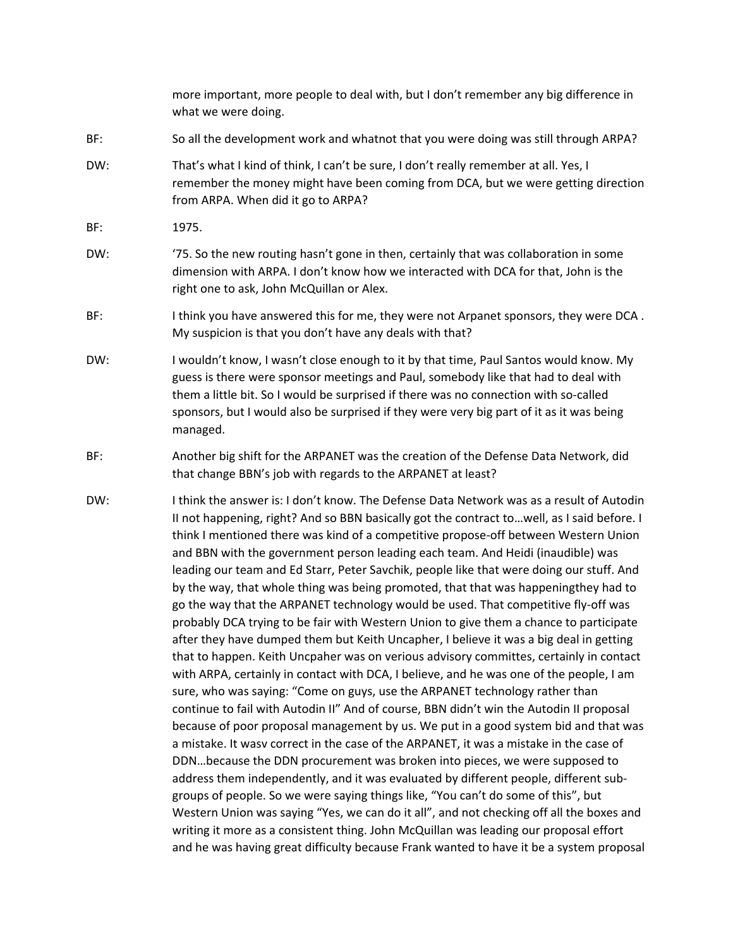|     | more important, more people to deal with, but I don't remember any big difference in<br>what we were doing.                                                                                                                                                                                                                                                                                                                                                                                                                                                                                                                                                                                                                                                                                                                                                                                                                                                                                                                                                                                                                                                                                                                                                                                                                                                                                                                                                                                                                                                                                                                                                                                                                                                                                                                                                                                                              |
|-----|--------------------------------------------------------------------------------------------------------------------------------------------------------------------------------------------------------------------------------------------------------------------------------------------------------------------------------------------------------------------------------------------------------------------------------------------------------------------------------------------------------------------------------------------------------------------------------------------------------------------------------------------------------------------------------------------------------------------------------------------------------------------------------------------------------------------------------------------------------------------------------------------------------------------------------------------------------------------------------------------------------------------------------------------------------------------------------------------------------------------------------------------------------------------------------------------------------------------------------------------------------------------------------------------------------------------------------------------------------------------------------------------------------------------------------------------------------------------------------------------------------------------------------------------------------------------------------------------------------------------------------------------------------------------------------------------------------------------------------------------------------------------------------------------------------------------------------------------------------------------------------------------------------------------------|
| BF: | So all the development work and whatnot that you were doing was still through ARPA?                                                                                                                                                                                                                                                                                                                                                                                                                                                                                                                                                                                                                                                                                                                                                                                                                                                                                                                                                                                                                                                                                                                                                                                                                                                                                                                                                                                                                                                                                                                                                                                                                                                                                                                                                                                                                                      |
| DW: | That's what I kind of think, I can't be sure, I don't really remember at all. Yes, I<br>remember the money might have been coming from DCA, but we were getting direction<br>from ARPA. When did it go to ARPA?                                                                                                                                                                                                                                                                                                                                                                                                                                                                                                                                                                                                                                                                                                                                                                                                                                                                                                                                                                                                                                                                                                                                                                                                                                                                                                                                                                                                                                                                                                                                                                                                                                                                                                          |
| BF: | 1975.                                                                                                                                                                                                                                                                                                                                                                                                                                                                                                                                                                                                                                                                                                                                                                                                                                                                                                                                                                                                                                                                                                                                                                                                                                                                                                                                                                                                                                                                                                                                                                                                                                                                                                                                                                                                                                                                                                                    |
| DW: | '75. So the new routing hasn't gone in then, certainly that was collaboration in some<br>dimension with ARPA. I don't know how we interacted with DCA for that, John is the<br>right one to ask, John McQuillan or Alex.                                                                                                                                                                                                                                                                                                                                                                                                                                                                                                                                                                                                                                                                                                                                                                                                                                                                                                                                                                                                                                                                                                                                                                                                                                                                                                                                                                                                                                                                                                                                                                                                                                                                                                 |
| BF: | I think you have answered this for me, they were not Arpanet sponsors, they were DCA.<br>My suspicion is that you don't have any deals with that?                                                                                                                                                                                                                                                                                                                                                                                                                                                                                                                                                                                                                                                                                                                                                                                                                                                                                                                                                                                                                                                                                                                                                                                                                                                                                                                                                                                                                                                                                                                                                                                                                                                                                                                                                                        |
| DW: | I wouldn't know, I wasn't close enough to it by that time, Paul Santos would know. My<br>guess is there were sponsor meetings and Paul, somebody like that had to deal with<br>them a little bit. So I would be surprised if there was no connection with so-called<br>sponsors, but I would also be surprised if they were very big part of it as it was being<br>managed.                                                                                                                                                                                                                                                                                                                                                                                                                                                                                                                                                                                                                                                                                                                                                                                                                                                                                                                                                                                                                                                                                                                                                                                                                                                                                                                                                                                                                                                                                                                                              |
| BF: | Another big shift for the ARPANET was the creation of the Defense Data Network, did<br>that change BBN's job with regards to the ARPANET at least?                                                                                                                                                                                                                                                                                                                                                                                                                                                                                                                                                                                                                                                                                                                                                                                                                                                                                                                                                                                                                                                                                                                                                                                                                                                                                                                                                                                                                                                                                                                                                                                                                                                                                                                                                                       |
| DW: | I think the answer is: I don't know. The Defense Data Network was as a result of Autodin<br>II not happening, right? And so BBN basically got the contract towell, as I said before. I<br>think I mentioned there was kind of a competitive propose-off between Western Union<br>and BBN with the government person leading each team. And Heidi (inaudible) was<br>leading our team and Ed Starr, Peter Savchik, people like that were doing our stuff. And<br>by the way, that whole thing was being promoted, that that was happeningthey had to<br>go the way that the ARPANET technology would be used. That competitive fly-off was<br>probably DCA trying to be fair with Western Union to give them a chance to participate<br>after they have dumped them but Keith Uncapher, I believe it was a big deal in getting<br>that to happen. Keith Uncpaher was on verious advisory committes, certainly in contact<br>with ARPA, certainly in contact with DCA, I believe, and he was one of the people, I am<br>sure, who was saying: "Come on guys, use the ARPANET technology rather than<br>continue to fail with Autodin II" And of course, BBN didn't win the Autodin II proposal<br>because of poor proposal management by us. We put in a good system bid and that was<br>a mistake. It wasv correct in the case of the ARPANET, it was a mistake in the case of<br>DDNbecause the DDN procurement was broken into pieces, we were supposed to<br>address them independently, and it was evaluated by different people, different sub-<br>groups of people. So we were saying things like, "You can't do some of this", but<br>Western Union was saying "Yes, we can do it all", and not checking off all the boxes and<br>writing it more as a consistent thing. John McQuillan was leading our proposal effort<br>and he was having great difficulty because Frank wanted to have it be a system proposal |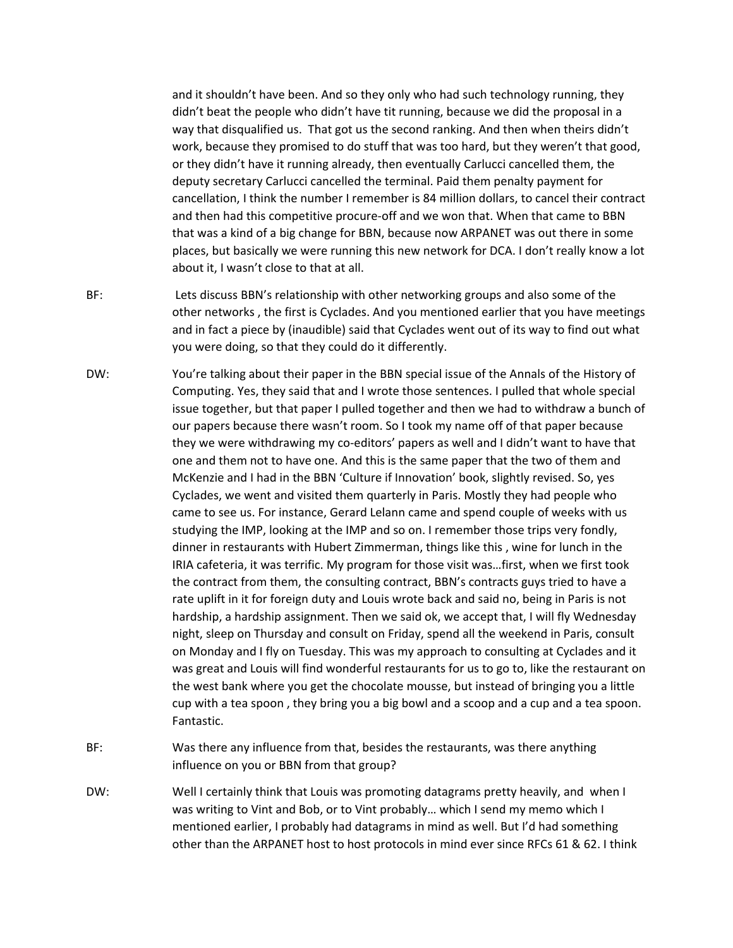and it shouldn't have been. And so they only who had such technology running, they didn't beat the people who didn't have tit running, because we did the proposal in a way that disqualified us. That got us the second ranking. And then when theirs didn't work, because they promised to do stuff that was too hard, but they weren't that good, or they didn't have it running already, then eventually Carlucci cancelled them, the deputy secretary Carlucci cancelled the terminal. Paid them penalty payment for cancellation, I think the number I remember is 84 million dollars, to cancel their contract and then had this competitive procure‐off and we won that. When that came to BBN that was a kind of a big change for BBN, because now ARPANET was out there in some places, but basically we were running this new network for DCA. I don't really know a lot about it, I wasn't close to that at all.

- BF: Lets discuss BBN's relationship with other networking groups and also some of the other networks , the first is Cyclades. And you mentioned earlier that you have meetings and in fact a piece by (inaudible) said that Cyclades went out of its way to find out what you were doing, so that they could do it differently.
- DW: You're talking about their paper in the BBN special issue of the Annals of the History of Computing. Yes, they said that and I wrote those sentences. I pulled that whole special issue together, but that paper I pulled together and then we had to withdraw a bunch of our papers because there wasn't room. So I took my name off of that paper because they we were withdrawing my co-editors' papers as well and I didn't want to have that one and them not to have one. And this is the same paper that the two of them and McKenzie and I had in the BBN 'Culture if Innovation' book, slightly revised. So, yes Cyclades, we went and visited them quarterly in Paris. Mostly they had people who came to see us. For instance, Gerard Lelann came and spend couple of weeks with us studying the IMP, looking at the IMP and so on. I remember those trips very fondly, dinner in restaurants with Hubert Zimmerman, things like this , wine for lunch in the IRIA cafeteria, it was terrific. My program for those visit was…first, when we first took the contract from them, the consulting contract, BBN's contracts guys tried to have a rate uplift in it for foreign duty and Louis wrote back and said no, being in Paris is not hardship, a hardship assignment. Then we said ok, we accept that, I will fly Wednesday night, sleep on Thursday and consult on Friday, spend all the weekend in Paris, consult on Monday and I fly on Tuesday. This was my approach to consulting at Cyclades and it was great and Louis will find wonderful restaurants for us to go to, like the restaurant on the west bank where you get the chocolate mousse, but instead of bringing you a little cup with a tea spoon , they bring you a big bowl and a scoop and a cup and a tea spoon. Fantastic.
- BF: Was there any influence from that, besides the restaurants, was there anything influence on you or BBN from that group?
- DW: Well I certainly think that Louis was promoting datagrams pretty heavily, and when I was writing to Vint and Bob, or to Vint probably… which I send my memo which I mentioned earlier, I probably had datagrams in mind as well. But I'd had something other than the ARPANET host to host protocols in mind ever since RFCs 61 & 62. I think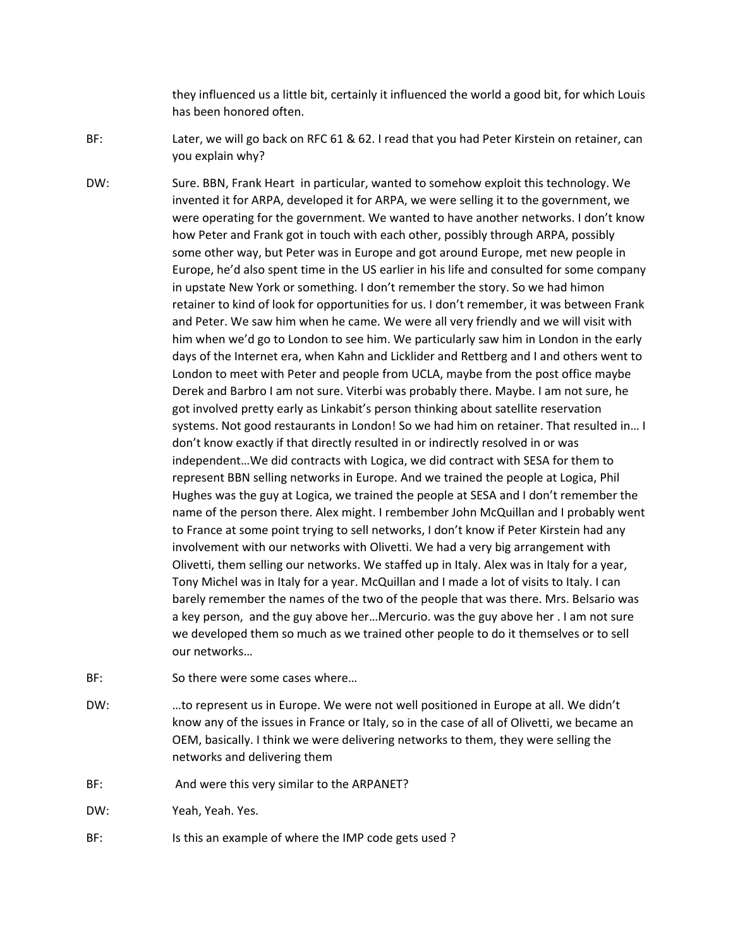they influenced us a little bit, certainly it influenced the world a good bit, for which Louis has been honored often.

- BF: Later, we will go back on RFC 61 & 62. I read that you had Peter Kirstein on retainer, can you explain why?
- DW: Sure. BBN, Frank Heart in particular, wanted to somehow exploit this technology. We invented it for ARPA, developed it for ARPA, we were selling it to the government, we were operating for the government. We wanted to have another networks. I don't know how Peter and Frank got in touch with each other, possibly through ARPA, possibly some other way, but Peter was in Europe and got around Europe, met new people in Europe, he'd also spent time in the US earlier in his life and consulted for some company in upstate New York or something. I don't remember the story. So we had himon retainer to kind of look for opportunities for us. I don't remember, it was between Frank and Peter. We saw him when he came. We were all very friendly and we will visit with him when we'd go to London to see him. We particularly saw him in London in the early days of the Internet era, when Kahn and Licklider and Rettberg and I and others went to London to meet with Peter and people from UCLA, maybe from the post office maybe Derek and Barbro I am not sure. Viterbi was probably there. Maybe. I am not sure, he got involved pretty early as Linkabit's person thinking about satellite reservation systems. Not good restaurants in London! So we had him on retainer. That resulted in… I don't know exactly if that directly resulted in or indirectly resolved in or was independent…We did contracts with Logica, we did contract with SESA for them to represent BBN selling networks in Europe. And we trained the people at Logica, Phil Hughes was the guy at Logica, we trained the people at SESA and I don't remember the name of the person there. Alex might. I rembember John McQuillan and I probably went to France at some point trying to sell networks, I don't know if Peter Kirstein had any involvement with our networks with Olivetti. We had a very big arrangement with Olivetti, them selling our networks. We staffed up in Italy. Alex was in Italy for a year, Tony Michel was in Italy for a year. McQuillan and I made a lot of visits to Italy. I can barely remember the names of the two of the people that was there. Mrs. Belsario was a key person, and the guy above her…Mercurio. was the guy above her . I am not sure we developed them so much as we trained other people to do it themselves or to sell our networks…
- BF: So there were some cases where...
- DW: …to represent us in Europe. We were not well positioned in Europe at all. We didn't know any of the issues in France or Italy, so in the case of all of Olivetti, we became an OEM, basically. I think we were delivering networks to them, they were selling the networks and delivering them
- BF: And were this very similar to the ARPANET?
- DW: Yeah, Yeah. Yes.
- BF: Is this an example of where the IMP code gets used?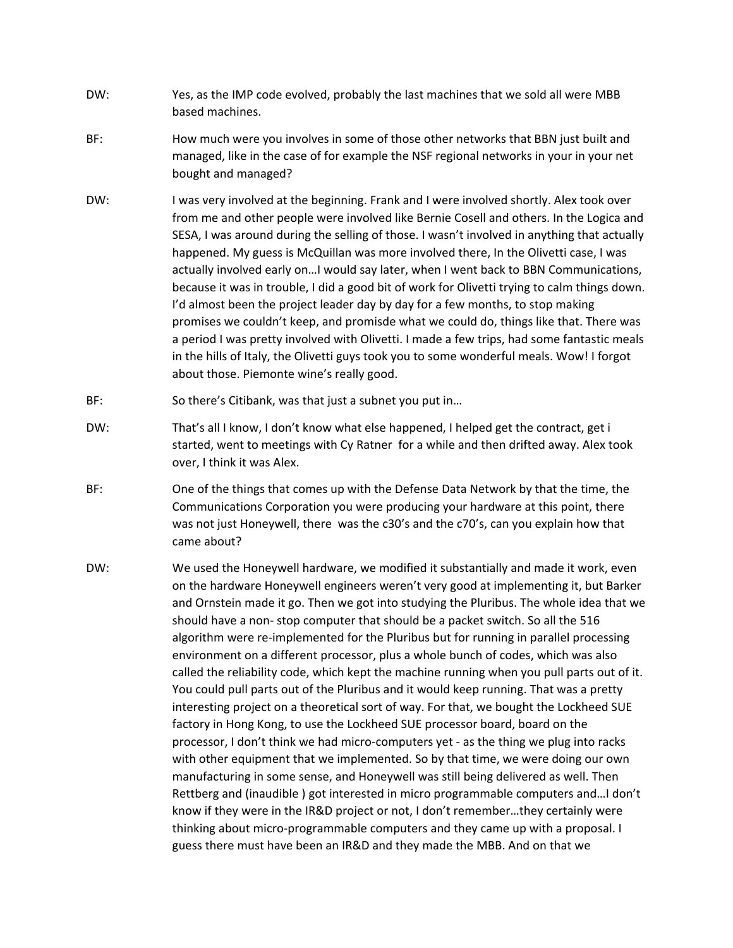- DW: Yes, as the IMP code evolved, probably the last machines that we sold all were MBB based machines.
- BF: How much were you involves in some of those other networks that BBN just built and managed, like in the case of for example the NSF regional networks in your in your net bought and managed?
- DW: I was very involved at the beginning. Frank and I were involved shortly. Alex took over from me and other people were involved like Bernie Cosell and others. In the Logica and SESA, I was around during the selling of those. I wasn't involved in anything that actually happened. My guess is McQuillan was more involved there, In the Olivetti case, I was actually involved early on…I would say later, when I went back to BBN Communications, because it was in trouble, I did a good bit of work for Olivetti trying to calm things down. I'd almost been the project leader day by day for a few months, to stop making promises we couldn't keep, and promisde what we could do, things like that. There was a period I was pretty involved with Olivetti. I made a few trips, had some fantastic meals in the hills of Italy, the Olivetti guys took you to some wonderful meals. Wow! I forgot about those. Piemonte wine's really good.
- BF: So there's Citibank, was that just a subnet you put in...
- DW: That's all I know, I don't know what else happened, I helped get the contract, get i started, went to meetings with Cy Ratner for a while and then drifted away. Alex took over, I think it was Alex.
- BF: One of the things that comes up with the Defense Data Network by that the time, the Communications Corporation you were producing your hardware at this point, there was not just Honeywell, there was the c30's and the c70's, can you explain how that came about?
- DW: We used the Honeywell hardware, we modified it substantially and made it work, even on the hardware Honeywell engineers weren't very good at implementing it, but Barker and Ornstein made it go. Then we got into studying the Pluribus. The whole idea that we should have a non‐ stop computer that should be a packet switch. So all the 516 algorithm were re-implemented for the Pluribus but for running in parallel processing environment on a different processor, plus a whole bunch of codes, which was also called the reliability code, which kept the machine running when you pull parts out of it. You could pull parts out of the Pluribus and it would keep running. That was a pretty interesting project on a theoretical sort of way. For that, we bought the Lockheed SUE factory in Hong Kong, to use the Lockheed SUE processor board, board on the processor, I don't think we had micro‐computers yet ‐ as the thing we plug into racks with other equipment that we implemented. So by that time, we were doing our own manufacturing in some sense, and Honeywell was still being delivered as well. Then Rettberg and (inaudible ) got interested in micro programmable computers and…I don't know if they were in the IR&D project or not, I don't remember…they certainly were thinking about micro‐programmable computers and they came up with a proposal. I guess there must have been an IR&D and they made the MBB. And on that we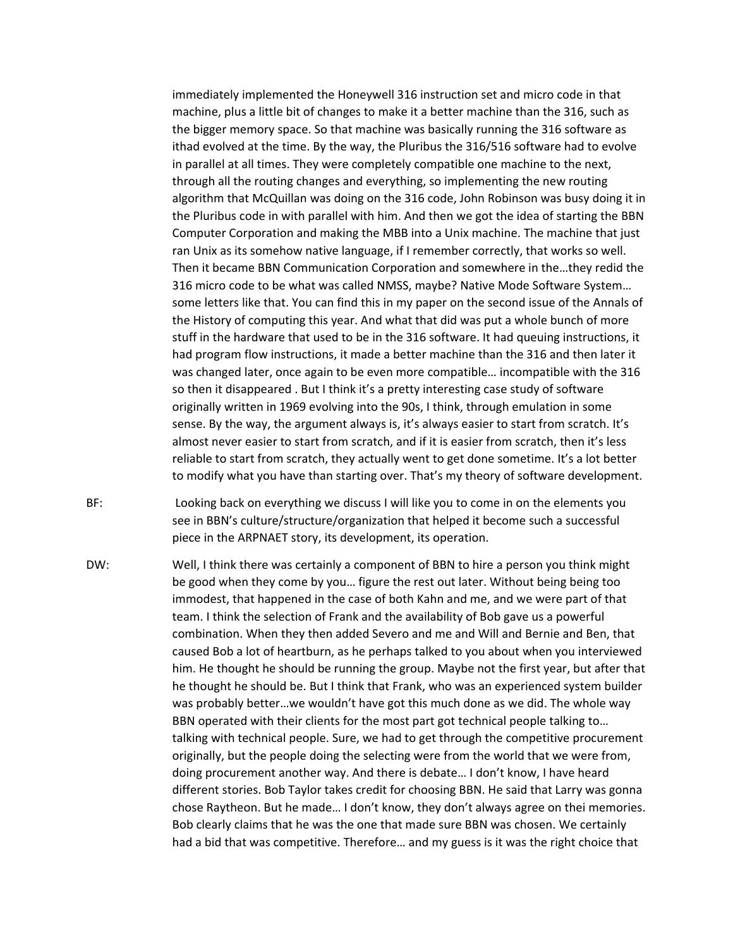immediately implemented the Honeywell 316 instruction set and micro code in that machine, plus a little bit of changes to make it a better machine than the 316, such as the bigger memory space. So that machine was basically running the 316 software as ithad evolved at the time. By the way, the Pluribus the 316/516 software had to evolve in parallel at all times. They were completely compatible one machine to the next, through all the routing changes and everything, so implementing the new routing algorithm that McQuillan was doing on the 316 code, John Robinson was busy doing it in the Pluribus code in with parallel with him. And then we got the idea of starting the BBN Computer Corporation and making the MBB into a Unix machine. The machine that just ran Unix as its somehow native language, if I remember correctly, that works so well. Then it became BBN Communication Corporation and somewhere in the…they redid the 316 micro code to be what was called NMSS, maybe? Native Mode Software System… some letters like that. You can find this in my paper on the second issue of the Annals of the History of computing this year. And what that did was put a whole bunch of more stuff in the hardware that used to be in the 316 software. It had queuing instructions, it had program flow instructions, it made a better machine than the 316 and then later it was changed later, once again to be even more compatible… incompatible with the 316 so then it disappeared . But I think it's a pretty interesting case study of software originally written in 1969 evolving into the 90s, I think, through emulation in some sense. By the way, the argument always is, it's always easier to start from scratch. It's almost never easier to start from scratch, and if it is easier from scratch, then it's less reliable to start from scratch, they actually went to get done sometime. It's a lot better to modify what you have than starting over. That's my theory of software development.

BF: Looking back on everything we discuss I will like you to come in on the elements you see in BBN's culture/structure/organization that helped it become such a successful piece in the ARPNAET story, its development, its operation.

DW: Well, I think there was certainly a component of BBN to hire a person you think might be good when they come by you… figure the rest out later. Without being being too immodest, that happened in the case of both Kahn and me, and we were part of that team. I think the selection of Frank and the availability of Bob gave us a powerful combination. When they then added Severo and me and Will and Bernie and Ben, that caused Bob a lot of heartburn, as he perhaps talked to you about when you interviewed him. He thought he should be running the group. Maybe not the first year, but after that he thought he should be. But I think that Frank, who was an experienced system builder was probably better…we wouldn't have got this much done as we did. The whole way BBN operated with their clients for the most part got technical people talking to… talking with technical people. Sure, we had to get through the competitive procurement originally, but the people doing the selecting were from the world that we were from, doing procurement another way. And there is debate… I don't know, I have heard different stories. Bob Taylor takes credit for choosing BBN. He said that Larry was gonna chose Raytheon. But he made… I don't know, they don't always agree on thei memories. Bob clearly claims that he was the one that made sure BBN was chosen. We certainly had a bid that was competitive. Therefore… and my guess is it was the right choice that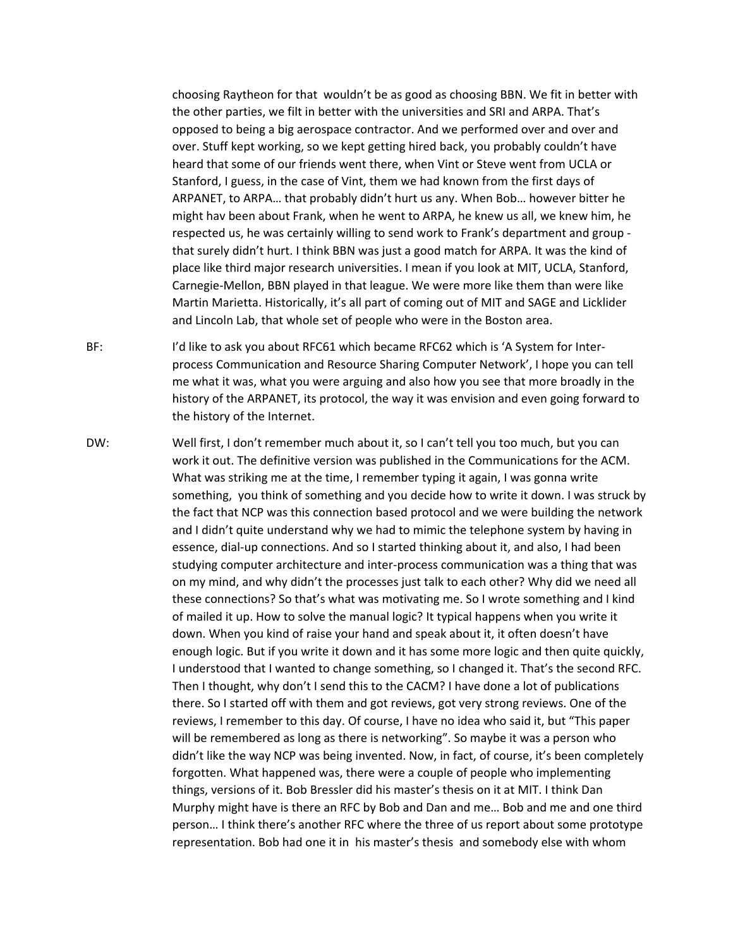choosing Raytheon for that wouldn't be as good as choosing BBN. We fit in better with the other parties, we filt in better with the universities and SRI and ARPA. That's opposed to being a big aerospace contractor. And we performed over and over and over. Stuff kept working, so we kept getting hired back, you probably couldn't have heard that some of our friends went there, when Vint or Steve went from UCLA or Stanford, I guess, in the case of Vint, them we had known from the first days of ARPANET, to ARPA… that probably didn't hurt us any. When Bob… however bitter he might hav been about Frank, when he went to ARPA, he knew us all, we knew him, he respected us, he was certainly willing to send work to Frank's department and group ‐ that surely didn't hurt. I think BBN was just a good match for ARPA. It was the kind of place like third major research universities. I mean if you look at MIT, UCLA, Stanford, Carnegie‐Mellon, BBN played in that league. We were more like them than were like Martin Marietta. Historically, it's all part of coming out of MIT and SAGE and Licklider and Lincoln Lab, that whole set of people who were in the Boston area.

BF: I'd like to ask you about RFC61 which became RFC62 which is 'A System for Interprocess Communication and Resource Sharing Computer Network', I hope you can tell me what it was, what you were arguing and also how you see that more broadly in the history of the ARPANET, its protocol, the way it was envision and even going forward to the history of the Internet.

DW: Well first, I don't remember much about it, so I can't tell you too much, but you can work it out. The definitive version was published in the Communications for the ACM. What was striking me at the time, I remember typing it again, I was gonna write something, you think of something and you decide how to write it down. I was struck by the fact that NCP was this connection based protocol and we were building the network and I didn't quite understand why we had to mimic the telephone system by having in essence, dial‐up connections. And so I started thinking about it, and also, I had been studying computer architecture and inter‐process communication was a thing that was on my mind, and why didn't the processes just talk to each other? Why did we need all these connections? So that's what was motivating me. So I wrote something and I kind of mailed it up. How to solve the manual logic? It typical happens when you write it down. When you kind of raise your hand and speak about it, it often doesn't have enough logic. But if you write it down and it has some more logic and then quite quickly, I understood that I wanted to change something, so I changed it. That's the second RFC. Then I thought, why don't I send this to the CACM? I have done a lot of publications there. So I started off with them and got reviews, got very strong reviews. One of the reviews, I remember to this day. Of course, I have no idea who said it, but "This paper will be remembered as long as there is networking". So maybe it was a person who didn't like the way NCP was being invented. Now, in fact, of course, it's been completely forgotten. What happened was, there were a couple of people who implementing things, versions of it. Bob Bressler did his master's thesis on it at MIT. I think Dan Murphy might have is there an RFC by Bob and Dan and me… Bob and me and one third person… I think there's another RFC where the three of us report about some prototype representation. Bob had one it in his master's thesis and somebody else with whom